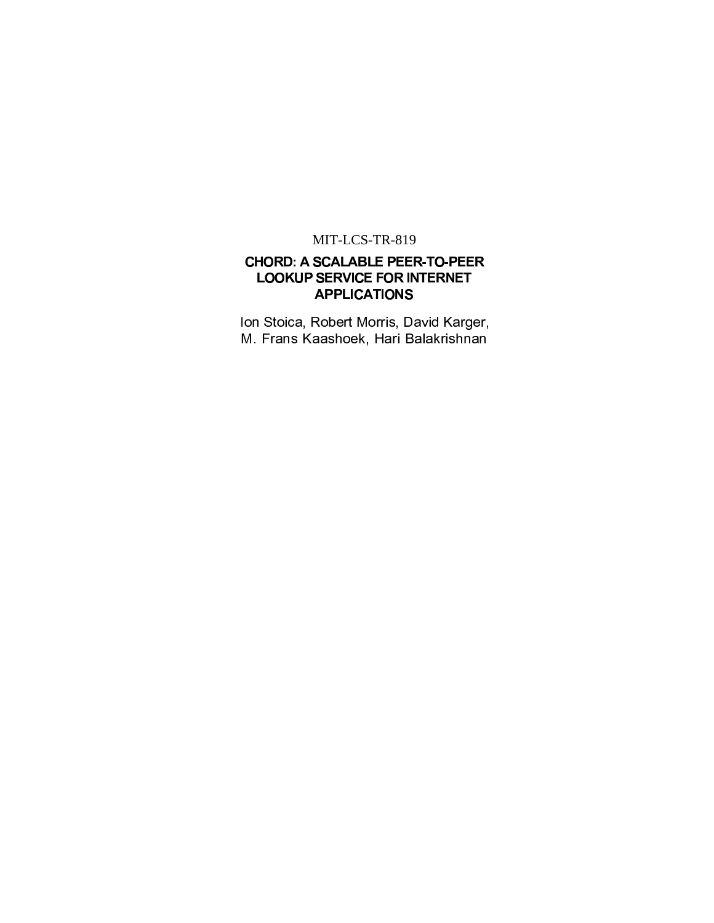## MIT-LCS-TR-819

## **CHORD: A SCALABLE PEER-TO-PEER LOOKUP SERVICE FOR INTERNET APPLICATIONS**

Ion Stoica, Robert Morris, David Karger, M. Frans Kaashoek, Hari Balakrishnan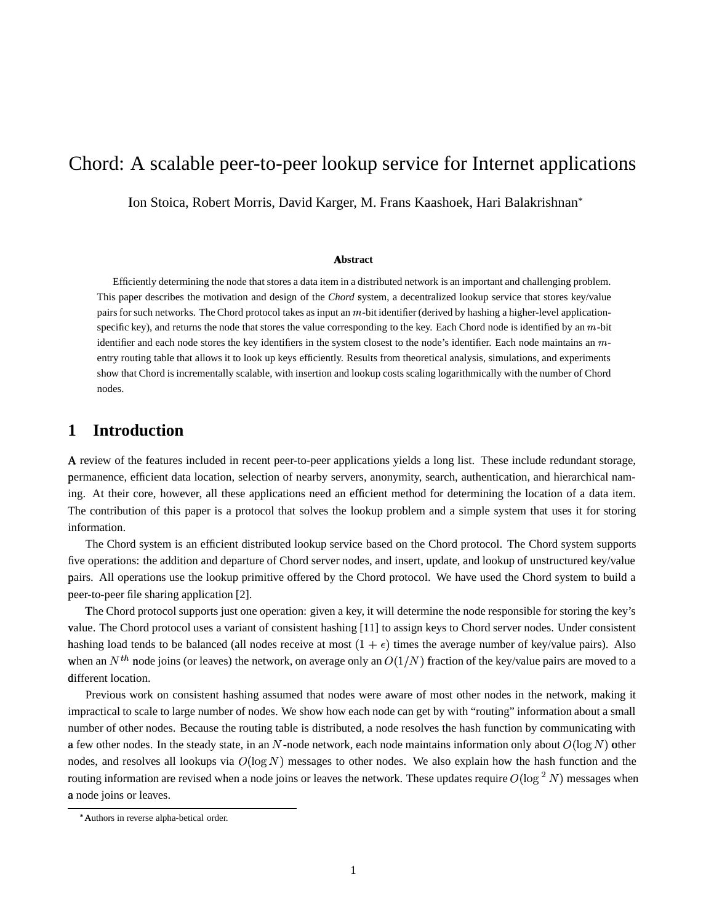# Chord: A scalable peer-to-peer lookup service for Internet applications

Ion Stoica, Robert Morris, David Karger, M. Frans Kaashoek, Hari Balakrishnan\*

### **Abstract**

Efficiently determining the node that stores a data item in a distributed network is an important and challenging problem. This paper describes the motivation and design of the *Chord* system, a decentralized lookup service that stores key/value pairs for such networks. The Chord protocol takes as input an  $m$ -bit identifier (derived by hashing a higher-level applicationspecific key), and returns the node that stores the value corresponding to the key. Each Chord node is identified by an  $m$ -bit identifier and each node stores the key identifiers in the system closest to the node's identifier. Each node maintains an  $m$ entry routing table that allows it to look up keys efficiently. Results from theoretical analysis, simulations, and experiments show that Chord is incrementally scalable, with insertion and lookup costs scaling logarithmically with the number of Chord nodes.

## **1 Introduction**

A review of the features included in recent peer-to-peer applications yields a long list. These include redundant storage, permanence, efficient data location, selection of nearby servers, anonymity, search, authentication, and hierarchical naming. At their core, however, all these applications need an efficient method for determining the location of a data item. The contribution of this paper is a protocol that solves the lookup problem and a simple system that uses it for storing information.

The Chord system is an efficient distributed lookup service based on the Chord protocol. The Chord system supports five operations: the addition and departure of Chord server nodes, and insert, update, and lookup of unstructured key/value pairs. All operations use the lookup primitive offered by the Chord protocol. We have used the Chord system to build a peer-to-peer file sharing application [2].

The Chord protocol supports just one operation: given a key, it will determine the node responsible for storing the key's value. The Chord protocol uses a variant of consistent hashing [11] to assign keys to Chord server nodes. Under consistent hashing load tends to be balanced (all nodes receive at most  $(1 + \epsilon)$  times the average number of key/value pairs). Also when an  $N^{th}$  node joins (or leaves) the network, on average only an  $O(1/N)$  fraction of the key/value pairs are moved to a different location.

Previous work on consistent hashing assumed that nodes were aware of most other nodes in the network, making it impractical to scale to large number of nodes. We show how each node can get by with "routing" information about a small number of other nodes. Because the routing table is distributed, a node resolves the hash function by communicating with a few other nodes. In the steady state, in an N-node network, each node maintains information only about  $O(\log N)$  other nodes, and resolves all lookups via  $O(\log N)$  messages to other nodes. We also explain how the hash function and the routing information are revised when a node joins or leaves the network. These updates require  $O(\log^2 N)$  messages when a node joins or leaves.

Authors in reverse alpha-betical order.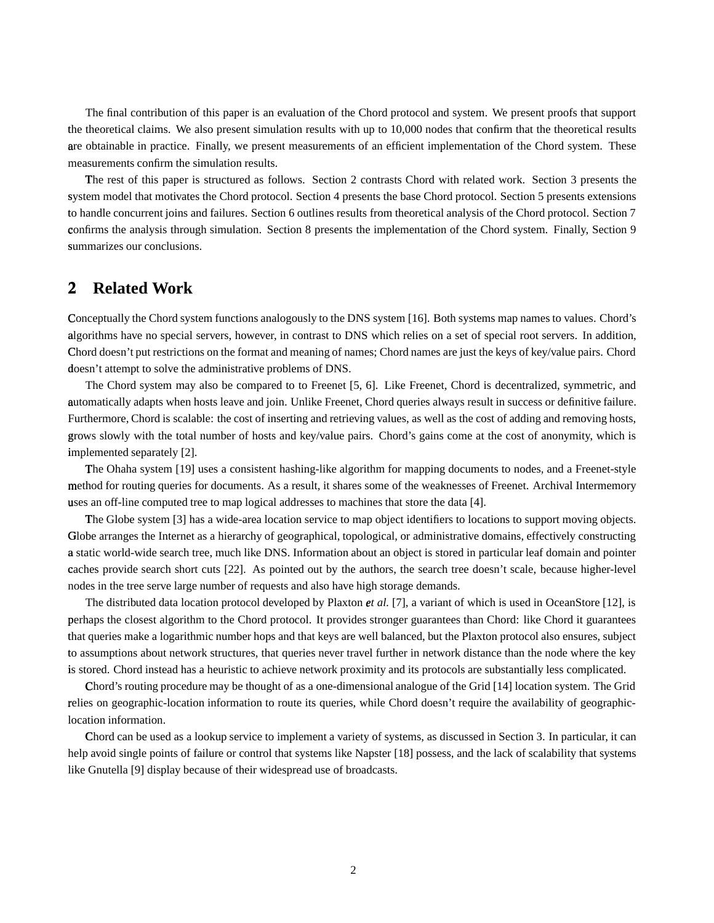The final contribution of this paper is an evaluation of the Chord protocol and system. We present proofs that support the <sup>k</sup> theoretical claims. We also present simulation results with up to 10,000 nodes that confirm that the theoretical results are obtainable in practice. Finally, we present measurements of an efficient implementation of the Chord system. These measurements confirm the simulation results.

The rest of this paper is structured as follows. Section 2 contrasts Chord with related work. Section 3 presents the system model that motivates the Chord protocol. Section 4 presents the base Chord protocol. Section 5 presents extensions to handle concurrent joins and failures. Section 6 outlines results from theoretical analysis of the Chord protocol. Section 7 confirms the analysis through simulation. Section 8 presents the implementation of the Chord system. Finally, Section 9 summarizes our conclusions.

## **2 Related Work**

Conceptually the Chord system functions analogously to the DNS system [16]. Both systems map names to values. Chord's algorithms have no special servers, however, in contrast to DNS which relies on a set of special root servers. In addition, Chord doesn't put restrictions on the format and meaning of names; Chord names are just the keys of key/value pairs. Chord doesn't attempt to solve the administrative problems of DNS.

The Chord system may also be compared to to Freenet [5, 6]. Like Freenet, Chord is decentralized, symmetric, and automatically adapts when hosts leave and join. Unlike Freenet, Chord queries always result in success or definitive failure. Furthermore, Chord is scalable: the cost of inserting and retrieving values, as well as the cost of adding and removing hosts, grows slowly with the total number of hosts and key/value pairs. Chord's gains come at the cost of anonymity, which is implemented separately [2].

The Ohaha system [19] uses a consistent hashing-like algorithm for mapping documents to nodes, and a Freenet-style method for routing queries for documents. As a result, it shares some of the weaknesses of Freenet. Archival Intermemory uses an off-line computed tree to map logical addresses to machines that store the data [4].

The Globe system [3] has a wide-area location service to map object identifiers to locations to support moving objects. Globe arranges the Internet as a hierarchy of geographical, topological, or administrative domains, effectively constructing a static world-wide search tree, much like DNS. Information about an object is stored in particular leaf domain and pointer caches provide search short cuts [22]. As pointed out by the authors, the search tree doesn't scale, because higher-level nodes in the tree serve large number of requests and also have high storage demands.

The distributed data location protocol developed by Plaxton *et al.* [7], a variant of which is used in OceanStore [12], is perhaps the closest algorithm to the Chord protocol. It provides stronger guarantees than Chord: like Chord it guarantees that queries make a logarithmic number hops and that keys are well balanced, but the Plaxton protocol also ensures, subject to assumptions about network structures, that queries never travel further in network distance than the node where the key is stored. Chord instead has a heuristic to achieve network proximity and its protocols are substantially less complicated.

Chord's routing procedure may be thought of as a one-dimensional analogue of the Grid [14] location system. The Grid relies on geographic-location information to route its queries, while Chord doesn't require the availability of geographiclocation information.

Chord can be used as a lookup service to implement a variety of systems, as discussed in Section 3. In particular, it can help avoid single points of failure or control that systems like Napster [18] possess, and the lack of scalability that systems like Gnutella [9] display because of their widespread use of broadcasts.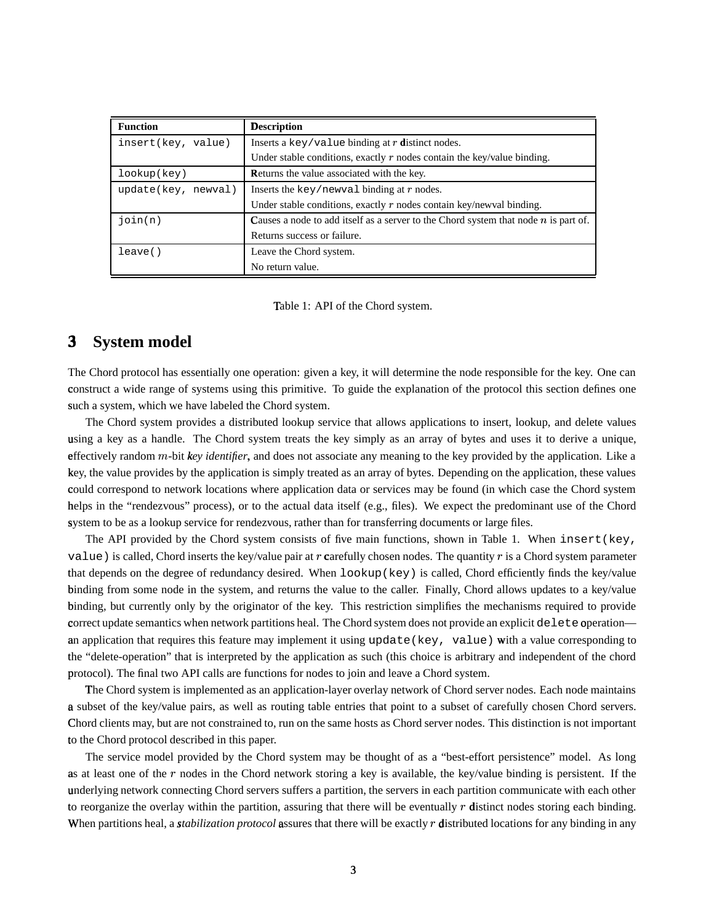| <b>Function</b>        | <b>Description</b>                                                                    |
|------------------------|---------------------------------------------------------------------------------------|
| insert(key, value)     | Inserts a key/value binding at $r$ distinct nodes.                                    |
|                        | Under stable conditions, exactly $r$ nodes contain the key/value binding.             |
| lookup(key)            | Returns the value associated with the key.                                            |
| update(key,<br>newyal) | Inserts the key/newval binding at $r$ nodes.                                          |
|                        | Under stable conditions, exactly $r$ nodes contain key/newval binding.                |
| join(n)                | Causes a node to add itself as a server to the Chord system that node $n$ is part of. |
|                        | Returns success or failure.                                                           |
| leave()                | Leave the Chord system.                                                               |
|                        | No return value.                                                                      |

Table 1: API of the Chord system.

## **3**<sup>²</sup> **System model**

The Chord protocol has essentially one operation: given a key, it will determine the node responsible for the key. One can construct a wide range of systems using this primitive. To guide the explanation of the protocol this section defines one such a system, which we have labeled the Chord system.

The Chord system provides a distributed lookup service that allows applications to insert, lookup, and delete values using a key as a handle. The Chord system treats the key simply as an array of bytes and uses it to derive a unique, effectively random *m*-bit *key identifier*, and does not associate any meaning to the key provided by the application. Like a key, the value provides by the application is simply treated as an array of bytes. Depending on the application, these values could correspond to network locations where application data or services may be found (in which case the Chord system helps in the "rendezvous" process), or to the actual data itself (e.g., files). We expect the predominant use of the Chord system to be as a lookup service for rendezvous, rather than for transferring documents or large files.

The API provided by the Chord system consists of five main functions, shown in Table 1. When insert (key, value) is called, Chord inserts the key/value pair at r carefully chosen nodes. The quantity r is a Chord system parameter that depends on the degree of redundancy desired. When lookup(key) is called, Chord efficiently finds the key/value binding from some node in the system, and returns the value to the caller. Finally, Chord allows updates to a key/value binding, but currently only by the originator of the key. This restriction simplifies the mechanisms required to provide correct update semantics when network partitions heal. The Chord system does not provide an explicit  $\det$  experation an application that requires this feature may implement it using update (key, value) with a value corresponding to the "delete-operation" that is interpreted by the application as such (this choice is arbitrary and independent of the chord protocol). The final two API calls are functions for nodes to join and leave a Chord system.

The Chord system is implemented as an application-layer overlay network of Chord server nodes. Each node maintains a subset of the key/value pairs, as well as routing table entries that point to a subset of carefully chosen Chord servers. Chord clients may, but are not constrained to, run on the same hosts as Chord server nodes. This distinction is not important to the Chord protocol described in this paper.

The service model provided by the Chord system may be thought of as a "best-effort persistence" model. As long as at least one of the  $r$  nodes in the Chord network storing a key is available, the key/value binding is persistent. If the underlying network connecting Chord servers suffers a partition, the servers in each partition communicate with each other to reorganize the overlay within the partition, assuring that there will be eventually  $r$  distinct nodes storing each binding. When partitions heal, a *stabilization protocol* assures that there will be exactly r distributed locations for any binding in any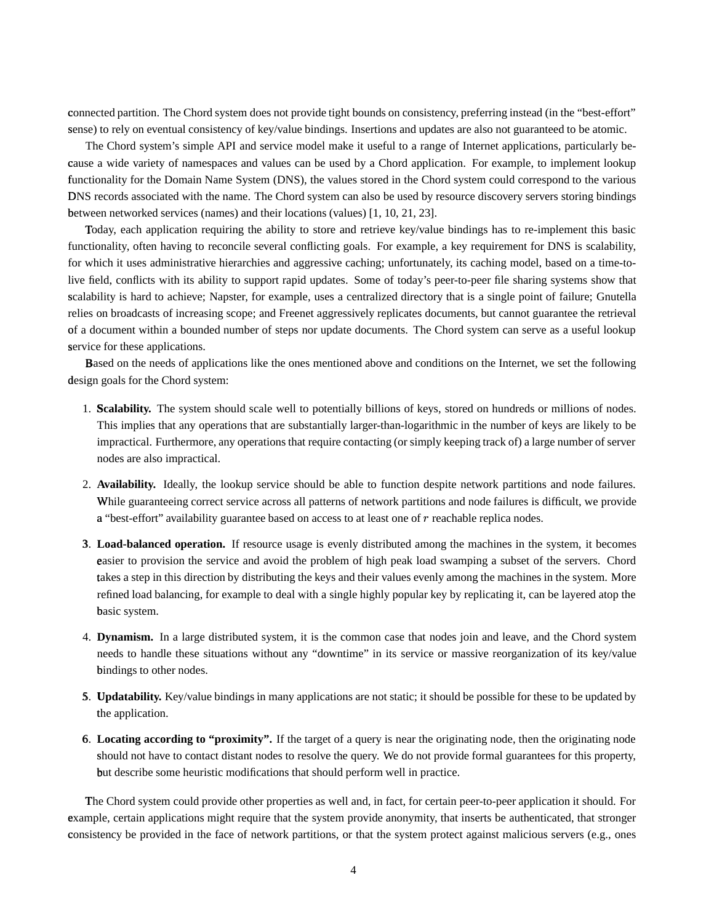connected partition. The Chord system does not provide tight bounds on consistency, preferring instead (in the "best-effort" sense) to rely on eventual consistency of key/value bindings. Insertions and updates are also not guaranteed to be atomic.

The Chord system's simple API and service model make it useful to a range of Internet applications, particularly because a wide variety of namespaces and values can be used by a Chord application. For example, to implement lookup functionality for the Domain Name System (DNS), the values stored in the Chord system could correspond to the various DNS records associated with the name. The Chord system can also be used by resource discovery servers storing bindings between networked services (names) and their locations (values) [1, 10, 21, 23].

Today, each application requiring the ability to store and retrieve key/value bindings has to re-implement this basic functionality, often having to reconcile several conflicting goals. For example, a key requirement for DNS is scalability, for which it uses administrative hierarchies and aggressive caching; unfortunately, its caching model, based on a time-tolive field, conflicts with its ability to support rapid updates. Some of today's peer-to-peer file sharing systems show that scalability is hard to achieve; Napster, for example, uses a centralized directory that is a single point of failure; Gnutella relies on broadcasts of increasing scope; and Freenet aggressively replicates documents, but cannot guarantee the retrieval of a document within a bounded number of steps nor update documents. The Chord system can serve as a useful lookup service for these applications.

Based on the needs of applications like the ones mentioned above and conditions on the Internet, we set the following design goals for the Chord system:

- 1. Scalability. The system should scale well to potentially billions of keys, stored on hundreds or millions of nodes. This implies that any operations that are substantially larger-than-logarithmic in the number of keys are likely to be impractical. Furthermore, any operations that require contacting (or simply keeping track of) a large number of server nodes are also impractical.
- 2. **Availability.** Ideally, the lookup service should be able to function despite network partitions and node failures. While guaranteeing correct service across all patterns of network partitions and node failures is difficult, we provide a "best-effort" availability guarantee based on access to at least one of  $r$  reachable replica nodes.
- 3. <sup>Ä</sup> **Load-balanced operation.** If resource usage is evenly distributed among the machines in the system, it becomes easier to provision the service and avoid the problem of high peak load swamping a subset of the servers. Chord takes a step in this direction by distributing the keys and their values evenly among the machines in the system. More refined load balancing, for example to deal with a single highly popular key by replicating it, can be layered atop the basic system.
- 4. **Dynamism.** In a large distributed system, it is the common case that nodes join and leave, and the Chord system needs to handle these situations without any "downtime" in its service or massive reorganization of its key/value bindings to other nodes.
- 5. Updatability. Key/value bindings in many applications are not static; it should be possible for these to be updated by the application.
- 6. <sup>Ì</sup> **Locating according to "proximity".** If the target of a query is near the originating node, then the originating node should not have to contact distant nodes to resolve the query. We do not provide formal guarantees for this property, but describe some heuristic modifications that should perform well in practice.

The Chord system could provide other properties as well and, in fact, for certain peer-to-peer application it should. For example, certain applications might require that the system provide anonymity, that inserts be authenticated, that stronger consistency be provided in the face of network partitions, or that the system protect against malicious servers (e.g., ones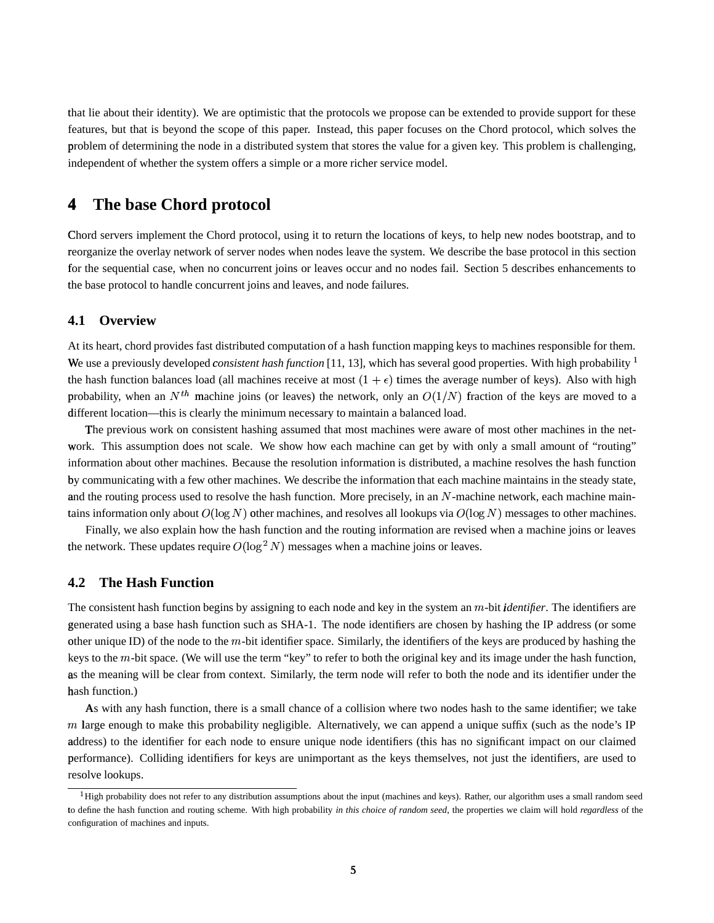that lie about their identity). We are optimistic that the protocols we propose can be extended to provide support for these features, but that is beyond the scope of this paper. Instead, this paper focuses on the Chord protocol, which solves the problem of determining the node in a distributed system that stores the value for a given key. This problem is challenging, independent of whether the system offers a simple or a more richer service model.

#### 4 The base Chord protocol

Chord servers implement the Chord protocol, using it to return the locations of keys, to help new nodes bootstrap, and to reorganize the overlay network of server nodes when nodes leave the system. We describe the base protocol in this section for the sequential case, when no concurrent joins or leaves occur and no nodes fail. Section 5 describes enhancements to the base protocol to handle concurrent joins and leaves, and node failures.

#### **Overview** 4.1

At its heart, chord provides fast distributed computation of a hash function mapping keys to machines responsible for them. We use a previously developed *consistent hash function* [11, 13], which has several good properties. With high probability <sup>1</sup> the hash function balances load (all machines receive at most  $(1 + \epsilon)$  times the average number of keys). Also with high probability, when an  $N^{th}$  machine joins (or leaves) the network, only an  $O(1/N)$  fraction of the keys are moved to a different location—this is clearly the minimum necessary to maintain a balanced load.

The previous work on consistent hashing assumed that most machines were aware of most other machines in the network. This assumption does not scale. We show how each machine can get by with only a small amount of "routing" information about other machines. Because the resolution information is distributed, a machine resolves the hash function by communicating with a few other machines. We describe the information that each machine maintains in the steady state, and the routing process used to resolve the hash function. More precisely, in an N-machine network, each machine maintains information only about  $O(\log N)$  other machines, and resolves all lookups via  $O(\log N)$  messages to other machines.

Finally, we also explain how the hash function and the routing information are revised when a machine joins or leaves the network. These updates require  $O(\log^2 N)$  messages when a machine joins or leaves.

#### $4.2$ **The Hash Function**

The consistent hash function begins by assigning to each node and key in the system an m-bit *identifier*. The identifiers are generated using a base hash function such as SHA-1. The node identifiers are chosen by hashing the IP address (or some other unique ID) of the node to the m-bit identifier space. Similarly, the identifiers of the keys are produced by hashing the keys to the m-bit space. (We will use the term "key" to refer to both the original key and its image under the hash function, as the meaning will be clear from context. Similarly, the term node will refer to both the node and its identifier under the hash function.)

As with any hash function, there is a small chance of a collision where two nodes hash to the same identifier; we take  $m$  large enough to make this probability negligible. Alternatively, we can append a unique suffix (such as the node's IP address) to the identifier for each node to ensure unique node identifiers (this has no significant impact on our claimed performance). Colliding identifiers for keys are unimportant as the keys themselves, not just the identifiers, are used to resolve lookups.

 ${}^{1}$ High probability does not refer to any distribution assumptions about the input (machines and keys). Rather, our algorithm uses a small random seed to define the hash function and routing scheme. With high probability in this choice of random seed, the properties we claim will hold regardless of the configuration of machines and inputs.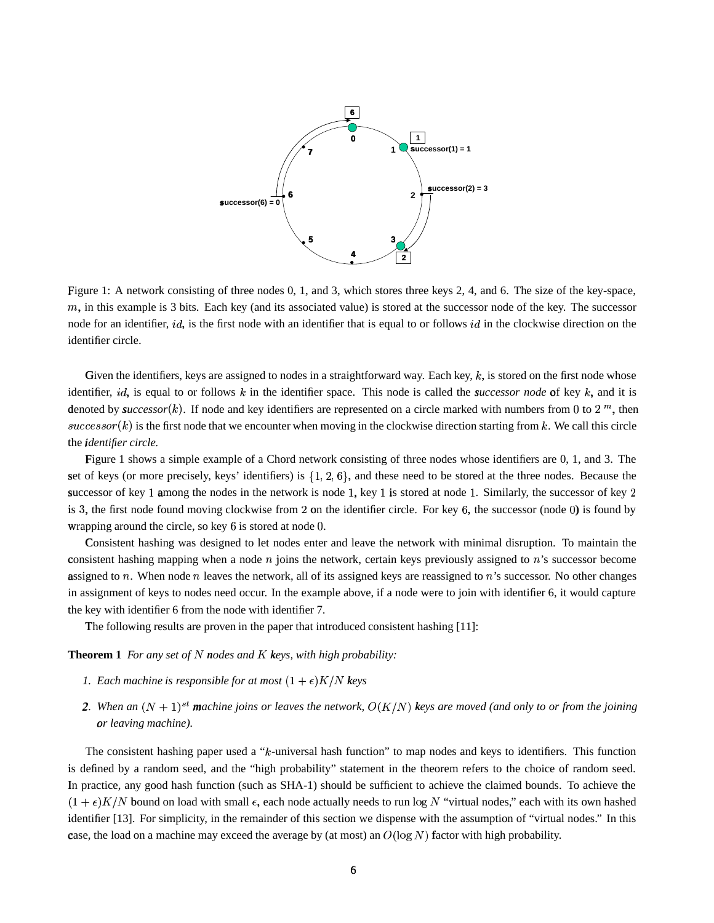

Figure 1: A network consisting of three nodes 0, 1, and 3, which stores three keys 2, 4, and 6. The size of the key-space,  $m$ , in this example is 3 bits. Each key (and its associated value) is stored at the successor node of the key. The successor node for an identifier, id, is the first node with an identifier that is equal to or follows id in the clockwise direction on the identifier circle.

Given the identifiers, keys are assigned to nodes in a straightforward way. Each key,  $k$ , is stored on the first node whose identifier, *id*, is equal to or follows  $k$  in the identifier space. This node is called the *successor node* of key  $k$ , and it is denoted by *successor*(k). If node and key identifiers are represented on a circle marked with numbers from 0 to 2  $^m$ , then  $successor(k)$  is the first node that we encounter when moving in the clockwise direction starting from k. We call this circle the *identifier* circle.

Figure 1 shows a simple example of a Chord network consisting of three nodes whose identifiers are 0, 1, and 3. The set of keys (or more precisely, keys' identifiers) is  $\{1, 2, 6\}$ , and these need to be stored at the three nodes. Because the successor of key 1 among the nodes in the network is node 1, key 1 is stored at node 1. Similarly, the successor of key 2 is 3, the first node found moving clockwise from 2 on the identifier circle. For key  $6$ , the successor (node 0) is found by wrapping around the circle, so key 6 is stored at node 0.

Consistent hashing was designed to let nodes enter and leave the network with minimal disruption. To maintain the consistent hashing mapping when a node  $n$  joins the network, certain keys previously assigned to  $n$ 's successor become assigned to  $n$ . When node  $n$  leaves the network, all of its assigned keys are reassigned to  $n$ 's successor. No other changes in assignment of keys to nodes need occur. In the example above, if a node were to join with identifier 6, it would capture the key with identifier 6 from the node with identifier 7.

The following results are proven in the paper that introduced consistent hashing [11]:

**Theorem 1** For any set of N nodes and K keys, with high probability:

- *1. Each machine is responsible for at most*  $(1 + \epsilon)K/N$  keys
- 2. When an  $(N + 1)^{st}$  machine joins or leaves the network,  $O(K/N)$  keys are moved (and only to or from the joining  $or$  *leaving machine*).

The consistent hashing paper used a " $k$ -universal hash function" to map nodes and keys to identifiers. This function is defined by a random seed, and the "high probability" statement in the theorem refers to the choice of random seed. In practice, any good hash function (such as SHA-1) should be sufficient to achieve the claimed bounds. To achieve the  $(1+\epsilon)K/N$  bound on load with small  $\epsilon$ , each node actually needs to run  $\log N$  "virtual nodes," each with its own hashed identifier [13]. For simplicity, in the remainder of this section we dispense with the assumption of "virtual nodes." In this case, the load on a machine may exceed the average by (at most) an  $O(\log N)$  factor with high probability.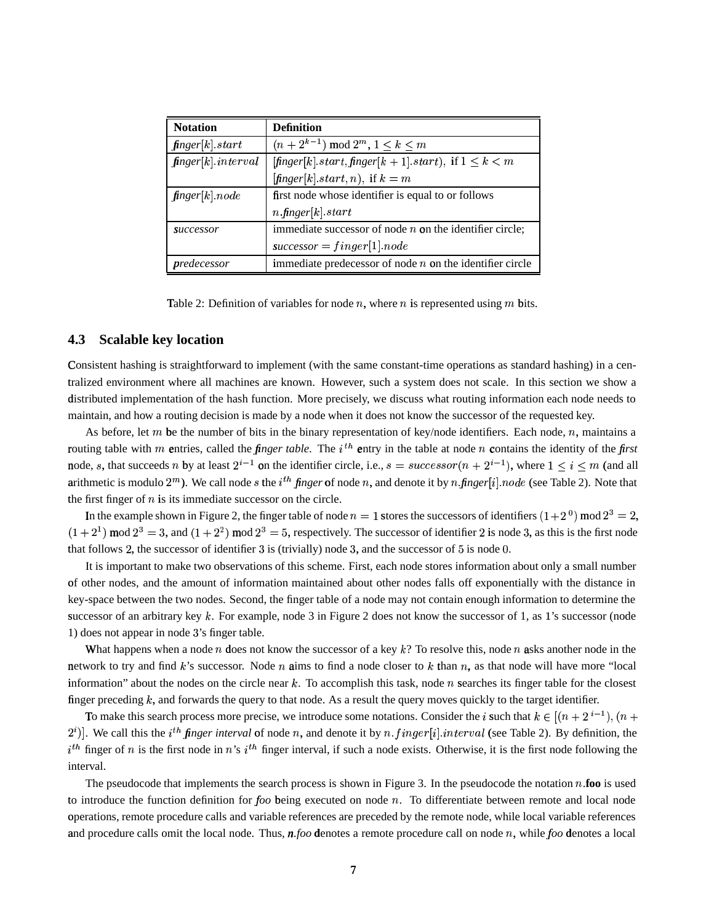| <b>Notation</b>        | <b>Definition</b>                                                                         |
|------------------------|-------------------------------------------------------------------------------------------|
| finger[k].start        | $(n+2^{k-1}) \mod 2^m, 1 \leq k \leq m$                                                   |
| $finger[k]$ . interval | $[\text{finger}[k].\text{start}, \text{finger}[k+1].\text{start})$ , if $1 \leq k \leq m$ |
|                        | $[\text{finger}[k].\text{start}, n)$ , if $k = m$                                         |
| finger[k] node         | first node whose identifier is equal to or follows                                        |
|                        | $n$ finger $ k $ start                                                                    |
| successor              | immediate successor of node $n$ on the identifier circle;                                 |
|                        | $successor = finger[1].node$                                                              |
| predecessor            | immediate predecessor of node $n$ on the identifier circle                                |

Table 2: Definition of variables for node *n*, where *n* is represented using *m* bits.

#### $4.3$ **Scalable key location**

Consistent hashing is straightforward to implement (with the same constant-time operations as standard hashing) in a centralized environment where all machines are known. However, such a system does not scale. In this section we show a distributed implementation of the hash function. More precisely, we discuss what routing information each node needs to maintain, and how a routing decision is made by a node when it does not know the successor of the requested key.

As before, let m be the number of bits in the binary representation of key/node identifiers. Each node, n, maintains a routing table with m entries, called the *finger table*. The  $i^{th}$  entry in the table at node n contains the identity of the *first* node, s, that succeeds n by at least  $2^{i-1}$  on the identifier circle, i.e.,  $s = successor(n + 2^{i-1})$ , where  $1 \le i \le m$  (and all arithmetic is modulo  $2^m$ ). We call node s the *i*<sup>th</sup> finger of node n, and denote it by n finger [i] node (see Table 2). Note that the first finger of  $n$  is its immediate successor on the circle.

In the example shown in Figure 2, the finger table of node  $n = 1$  stores the successors of identifiers  $(1+2^0)$  mod  $2^3 = 2$ ,  $(1+2^1)$  mod  $2^3 = 3$ , and  $(1+2^2)$  mod  $2^3 = 5$ , respectively. The successor of identifier 2 is node 3, as this is the first node that follows 2, the successor of identifier 3 is (trivially) node 3, and the successor of  $5$  is node 0.

It is important to make two observations of this scheme. First, each node stores information about only a small number of other nodes, and the amount of information maintained about other nodes falls off exponentially with the distance in key-space between the two nodes. Second, the finger table of a node may not contain enough information to determine the successor of an arbitrary key  $k$ . For example, node 3 in Figure 2 does not know the successor of 1, as 1's successor (node 1) does not appear in node 3's finger table.

What happens when a node n does not know the successor of a key  $k$ ? To resolve this, node n asks another node in the network to try and find  $k$ 's successor. Node  $n$  aims to find a node closer to  $k$  than  $n$ , as that node will have more "local information" about the nodes on the circle near  $k$ . To accomplish this task, node n searches its finger table for the closest finger preceding  $k$ , and forwards the query to that node. As a result the query moves quickly to the target identifier.

To make this search process more precise, we introduce some notations. Consider the *i* such that  $k \in [(n+2^{i-1}), (n+2^{i-1})]$  $2^i$ ]. We call this the i<sup>th</sup> finger interval of node n, and denote it by n finger [i] interval (see Table 2). By definition, the  $i^{th}$  finger of n is the first node in n's  $i^{th}$  finger interval, if such a node exists. Otherwise, it is the first node following the interval.

The pseudocode that implements the search process is shown in Figure 3. In the pseudocode the notation n.foo is used to introduce the function definition for  $foo$  being executed on node  $n$ . To differentiate between remote and local node operations, remote procedure calls and variable references are preceded by the remote node, while local variable references and procedure calls omit the local node. Thus,  $n\text{,}$  foo denotes a remote procedure call on node n, while foo denotes a local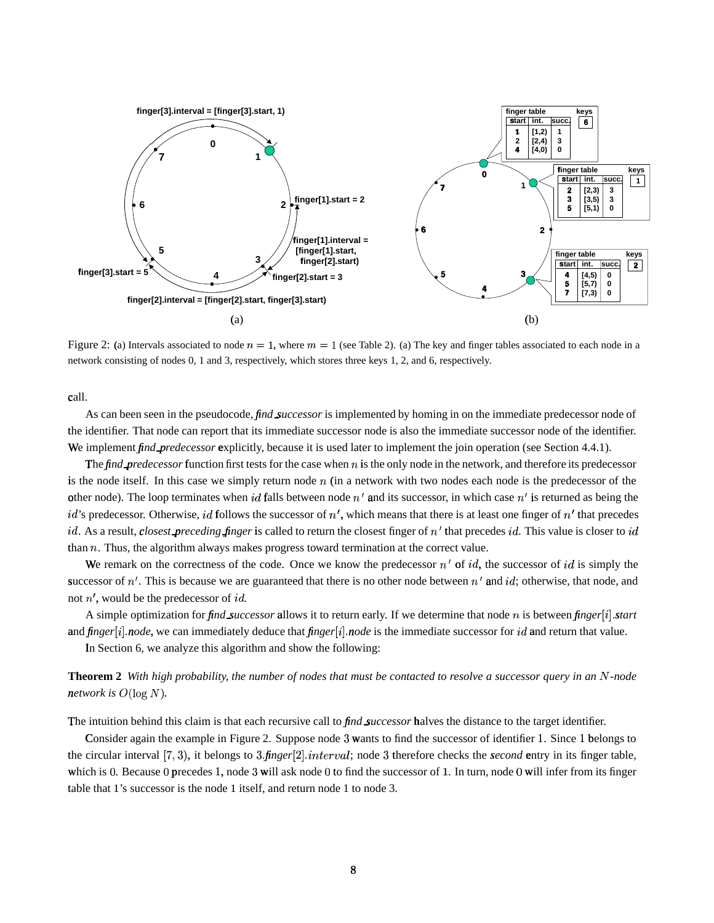

Figure 2: (a) Intervals associated to node  $n = 1$ , where  $m = 1$  (see Table 2). (a) The key and finger tables associated to each node in a network consisting of nodes 0, 1 and 3, respectively, which stores three keys 1, 2, and 6, respectively.

call.

As can been seen in the pseudocode, *find successor* is implemented by homing in on the immediate predecessor node of the identifier. That node can report that its immediate successor node is also the immediate successor node of the identifier. We implement *find predecessor* explicitly, because it is used later to implement the join operation (see Section 4.4.1).

The *find predecessor* function first tests for the case when  $n$  is the only node in the network, and therefore its predecessor is the node itself. In this case we simply return node  $n$  (in a network with two nodes each node is the predecessor of the other node). The loop terminates when id falls between node  $n'$  and its successor, in which case  $n'$  is returned as being the id's predecessor. Otherwise, id follows the successor of  $n'$ , which means that there is at least one finger of  $n'$  that precedes id. As a result, closest preceding finger is called to return the closest finger of  $n'$  that precedes id. This value is closer to id than  $n$ . Thus, the algorithm always makes progress toward termination at the correct value.

We remark on the correctness of the code. Once we know the predecessor  $n'$  of id, the successor of id is simply the successor of  $n'$ . This is because we are guaranteed that there is no other node between  $n'$  and id; otherwise, that node, and not  $n'$ , would be the predecessor of *id*.

A simple optimization for find successor allows it to return early. If we determine that node n is between finger[i] start and  $finger[i]$  node, we can immediately deduce that  $finger[i]$  node is the immediate successor for id and return that value.

In Section 6, we analyze this algorithm and show the following:

**Theorem 2** With high probability, the number of nodes that must be contacted to resolve a successor query in an N-node network is  $O(\log N)$ .

The intuition behind this claim is that each recursive call to *find successor* halves the distance to the target identifier.

Consider again the example in Figure 2. Suppose node 3 wants to find the successor of identifier 1. Since 1 belongs to the circular interval  $[7,3)$ , it belongs to 3.finger [2] interval; node 3 therefore checks the *second* entry in its finger table, which is 0. Because 0 precedes 1, node 3 will ask node 0 to find the successor of 1. In turn, node 0 will infer from its finger table that 1's successor is the node 1 itself, and return node 1 to node 3.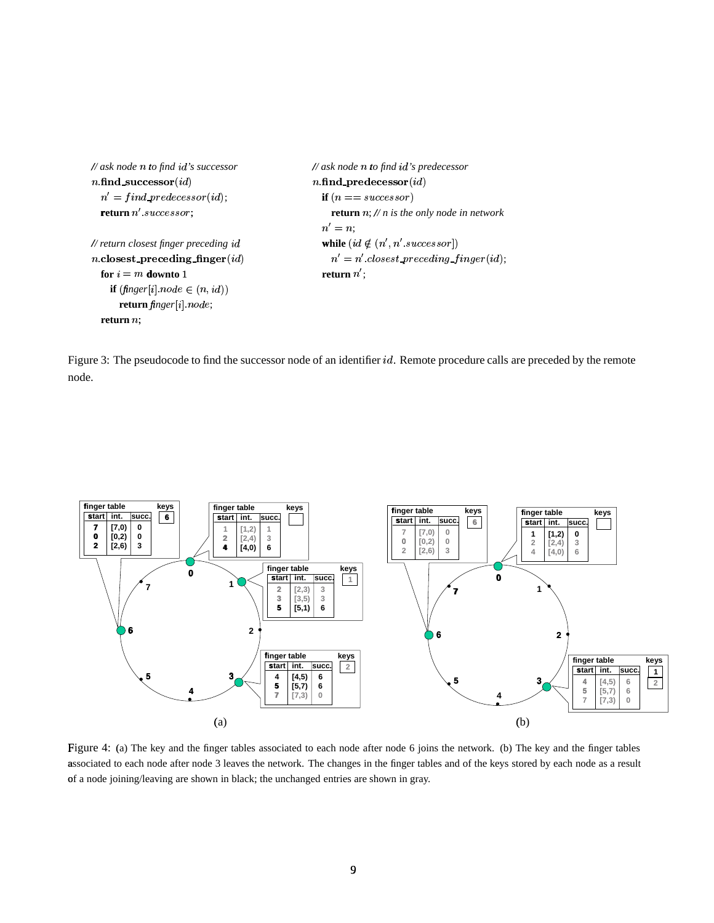```
// ask node n to find id's successor
                                                   // ask node n to find id's predecessor
                                                   n.find_predecessor(id)
n.find_successor(id)
  n' = find\_predecessor(id);if (n == successor)return n'. successor;
                                                        return n; // n is the only node in network
                                                     n'=n\frac{1}{\sqrt{2}} return closest finger preceding id
                                                     while (id \notin (n', n'.successor])n closest_preceding_finger(id)
                                                        n' = n'.closest\_preceding\_finger(id);for i = m downto 1
                                                     return n':
    if (finger[i] node \in (n, id))
      return finger[i] node;return n;
```
Figure 3: The pseudocode to find the successor node of an identifier  $id$ . Remote procedure calls are preceded by the remote node.



Figure 4: (a) The key and the finger tables associated to each node after node 6 joins the network. (b) The key and the finger tables associated to each node after node 3 leaves the network. The changes in the finger tables and of the keys stored by each node as a result of a node joining/leaving are shown in black; the unchanged entries are shown in gray.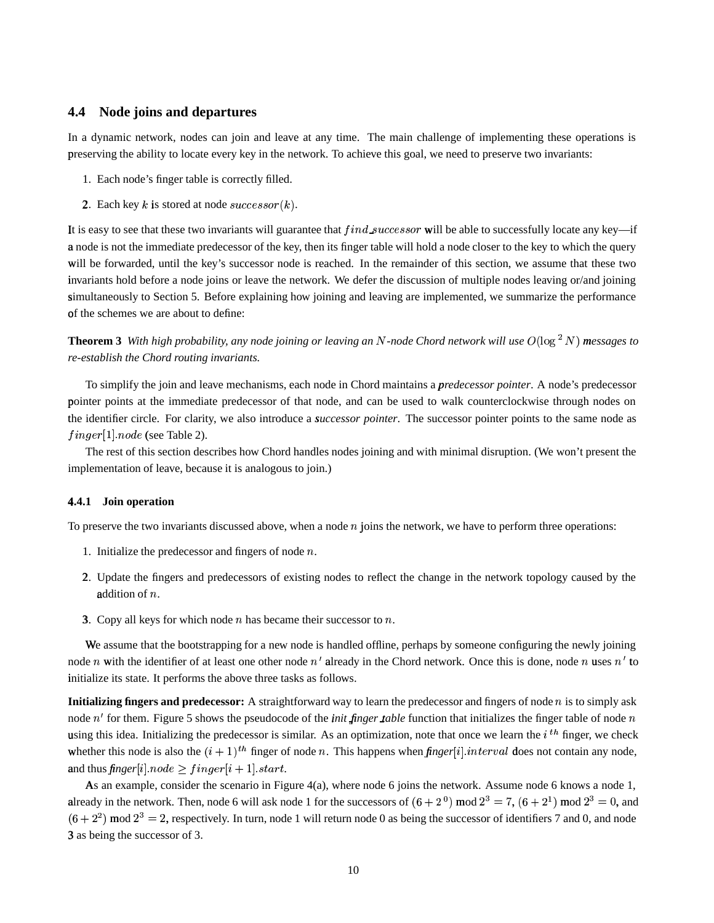### **4.4 Node joins and departures**

In a dynamic network, nodes can join and leave at any time. The main challenge of implementing these operations is preserving the ability to locate every key in the network. To achieve this goal, we need to preserve two invariants:

- 1. Each node's finger table is correctly filled.
- 2. Each key k is stored at node  $successor(k)$ .

It is easy to see that these two invariants will guarantee that  $find\_successor$  will be able to successfully locate any key—if a node is not the immediate predecessor of the key, then its finger table will hold a node closer to the key to which the query will be forwarded, until the key's successor node is reached. In the remainder of this section, we assume that these two invariants hold before a node joins or leave the network. We defer the discussion of multiple nodes leaving or/and joining simultaneously to Section 5. Before explaining how joining and leaving are implemented, we summarize the performance of the schemes we are about to define:

**Theorem 3** With high probability, any node joining or leaving an N-node Chord network will use  $O(\log^2 N)$  messages to *re-establish the Chord routing invariants.*

To simplify the join and leave mechanisms, each node in Chord maintains a *predecessor pointer*. A node's predecessor pointer points at the immediate predecessor of that node, and can be used to walk counterclockwise through nodes on the identifier circle. For clarity, we also introduce a *successor pointer*. The successor pointer points to the same node as  $finger[1].node$  (see Table 2).

The rest of this section describes how Chord handles nodes joining and with minimal disruption. (We won't present the implementation of leave, because it is analogous to join.)

### **4.4.1** <sup>Â</sup> **Join operation**

To preserve the two invariants discussed above, when a node  $n$  joins the network, we have to perform three operations:

- 1. Initialize the predecessor and fingers of node  $n$ .
- 2. Update the fingers and predecessors of existing nodes to reflect the change in the network topology caused by the addition of  $n$ .
- 3. Copy all keys for which node  $n$  has became their successor to  $n$ .

We assume that the bootstrapping for a new node is handled offline, perhaps by someone configuring the newly joining node n with the identifier of at least one other node  $n'$  already in the Chord network. Once this is done, node n uses  $n'$  to initialize its state. It performs the above three tasks as follows.

**Initializing fingers and predecessor:** A straightforward way to learn the predecessor and fingers of node  $n$  is to simply ask node  $n'$  for them. Figure 5 shows the pseudocode of the *init finger table* function that initializes the finger table of node  $n$ using this idea. Initializing the predecessor is similar. As an optimization, note that once we learn the  $i^{th}$  finger, we check whether this node is also the  $(i + 1)^{th}$  finger of node *n*. This happens when *finger*[i] interval does not contain any node, and thus  $\emph{finger}[i].node \geq \emph{finger}[i+1].start.$ 

As an example, consider the scenario in Figure 4(a), where node 6 joins the network. Assume node 6 knows a node 1, already in the network. Then, node 6 will ask node 1 for the successors of  $(6+2^0)$  mod  $2^3 = 7$ ,  $(6+2^1)$  mod  $2^3 = 0$ , and  $(6+2^2)$  mod  $2^3 = 2$ , respectively. In turn, node 1 will return node 0 as being the successor of identifiers 7 and 0, and node 3 as being the successor of 3.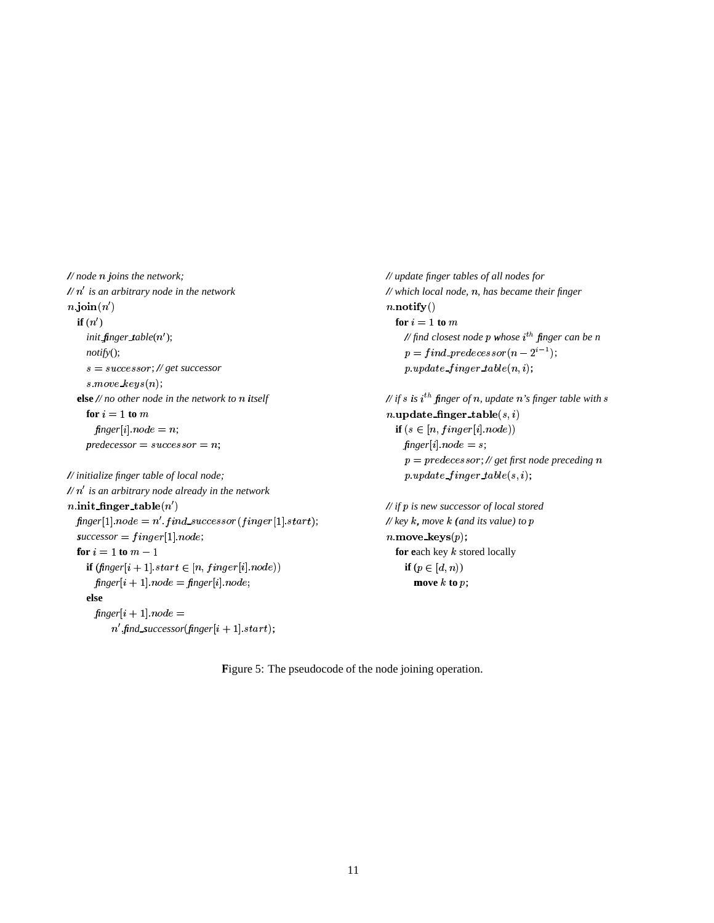$\frac{1}{\sqrt{2}}$  node n joins the network;  $// n'$  is an arbitrary node in the network  $n$  join $(n')$ if  $(n')$ init finger table $(n')$ ;  $notify();$  $s = successor; // get successor$  $s$  move  $keys(n);$ else  $//$  no other node in the network to  $n$  itself for  $i = 1$  to  $m$  $finger[i] node = n;$  $predecessor = successor = n;$ 

// initialize finger table of local node;  $// n'$  is an arbitrary node already in the network *n*.init\_finger\_table( $n'$ )  $finger[1].node = n'.find\_successor(finger[1].start);$  $successor = finger[1] node;$ for  $i = 1$  to  $m - 1$ **if**  $(\textit{finger}[i + 1] \textit{start} \in [n, \textit{finger}[i] \textit{node}))$  $\mathit{finger}[i + 1].node = \mathit{finger}[i].node;$ else  $finger[i+1] node =$  $n'$  find\_successor(finger[i + 1].start);

// update finger tables of all nodes for  $//$  which local node,  $n$ , has became their finger  $n \cdot \textbf{notify}()$ for  $i = 1$  to  $m$ // find closest node p whose  $i^{th}$  finger can be n  $p = find\_predecessor(n-2^{i-1});$  $p.update\_finger\_table(n, i);$ 

// if s is  $i^{th}$  finger of n, update n's finger table with s  $n.\texttt{update\_finger\_table}(s, i)$ if  $(s \in [n, finger[i].node))$  $finger[i] node = s;$  $p = predecessor$ ; // get first node preceding n  $p.update\_finger_table(s, i);$ 

 $//$  if  $p$  is new successor of local stored // key  $k$ , move  $k$  (and its value) to  $p$ *n* move\_keys $(p)$ ; for each key  $k$  stored locally if  $(p \in [d, n))$ move  $k$  to  $p$ ;

Figure 5: The pseudocode of the node joining operation.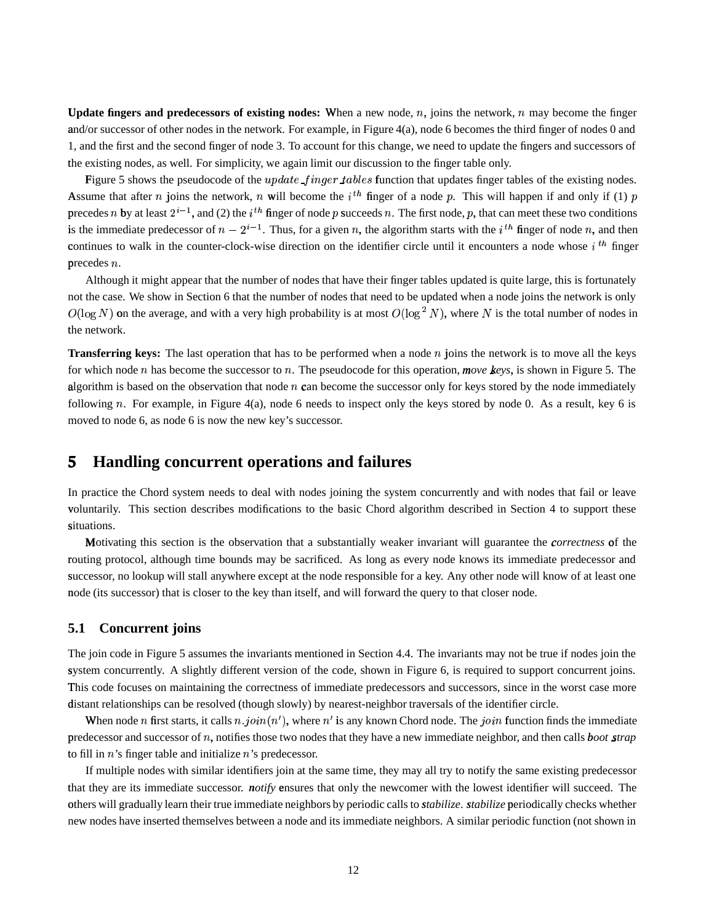**Update fingers and predecessors of existing nodes:** When a new node,  $n$ , joins the network,  $n$  may become the finger and/or successor of other nodes in the network. For example, in Figure 4(a), node 6 becomes the third finger of nodes 0 and 1, and the first and the second finger of node 3. To account for this change, we need to update the fingers and successors of the existing nodes, as well. For simplicity, we again limit our discussion to the finger table only.

Figure 5 shows the pseudocode of the  $update\_finger\_tables$  function that updates finger tables of the existing nodes. Assume that after n joins the network, n will become the  $i^{th}$  finger of a node p. This will happen if and only if (1) p precedes n by at least  $2^{i-1}$ , and (2) the  $i^{th}$  finger of node p succeeds n. The first node, p, that can meet these two conditions is the immediate predecessor of  $n-2^{i-1}$ . Thus, for a given n, the algorithm starts with the i<sup>th</sup> finger of node n, and then continues to walk in the counter-clock-wise direction on the identifier circle until it encounters a node whose  $i<sup>th</sup>$  finger precedes  $n$ .

Although it might appear that the number of nodes that have their finger tables updated is quite large, this is fortunately not the case. We show in Section 6 that the number of nodes that need to be updated when a node joins the network is only  $O(\log N)$  on the average, and with a very high probability is at most  $O(\log^2 N)$ , where N is the total number of nodes in the network.

**Transferring keys:** The last operation that has to be performed when a node  $n$  joins the network is to move all the keys for which node  $n$  has become the successor to  $n$ . The pseudocode for this operation, *move keys*, is shown in Figure 5. The algorithm is based on the observation that node  $n$  can become the successor only for keys stored by the node immediately following  $n$ . For example, in Figure 4(a), node 6 needs to inspect only the keys stored by node 0. As a result, key 6 is moved to node 6, as node 6 is now the new key's successor.

## **5 Handling concurrent operations and failures**

In practice the Chord system needs to deal with nodes joining the system concurrently and with nodes that fail or leave v oluntarily. This section describes modifications to the basic Chord algorithm described in Section 4 to support these situations.

Motivating this section is the observation that a substantially weaker invariant will guarantee the *correctness* of the routing protocol, although time bounds may be sacrificed. As long as every node knows its immediate predecessor and successor, no lookup will stall anywhere except at the node responsible for a key. Any other node will know of at least one node (its successor) that is closer to the key than itself, and will forward the query to that closer node.

### **5.1 Concurrent joins**

The join code in Figure 5 assumes the invariants mentioned in Section 4.4. The invariants may not be true if nodes join the system concurrently. A slightly different version of the code, shown in Figure 6, is required to support concurrent joins. This code focuses on maintaining the correctness of immediate predecessors and successors, since in the worst case more distant relationships can be resolved (though slowly) by nearest-neighbor traversals of the identifier circle.

When node *n* first starts, it calls  $n.join(n')$ , where  $n'$  is any known Chord node. The  $join$  function finds the immediate predecessor and successor of  $n$ , notifies those two nodes that they have a new immediate neighbor, and then calls *boot* strap to fill in  $n$ 's finger table and initialize  $n$ 's predecessor.

If multiple nodes with similar identifiers join at the same time, they may all try to notify the same existing predecessor that they are its immediate successor. *notify* ensures that only the newcomer with the lowest identifier will succeed. The others will gradually learn their true immediate neighbors by periodic calls to *stabilize*. *stabilize* periodically checks whether new nodes have inserted themselves between a node and its immediate neighbors. A similar periodic function (not shown in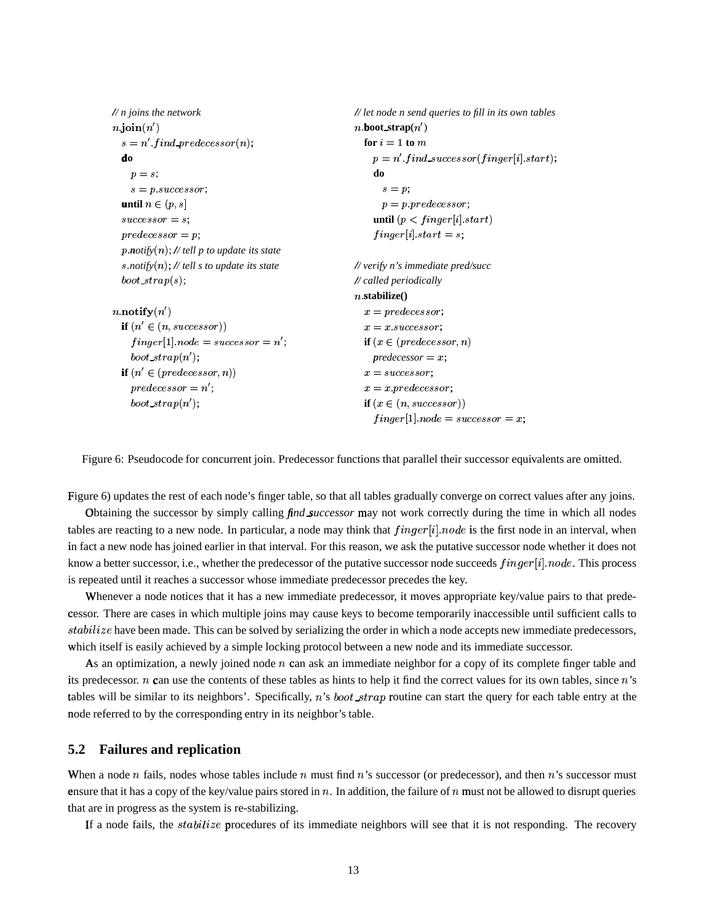```
// n joins the network
                                                       // let node n send queries to fill in its own tables
n join(n')n.boot strap(n')s = n' find_predecessor(n);
                                                         for i = 1 to m
 do
                                                           p = n' find_successor(finger[i].start);
                                                           do
   p = s;
    s = p successor;
                                                             s = p;
  until n \in (p, s]p = p predecessor;
                                                           until (p < finger[i].start)successor = s;predecessor = p;finger[i] start = s;p\text{.}notify(n); // tell p to update its state
  s notify(n); // tell s to update its state
                                                       // verify n's immediate pred/succ
                                                       // called periodically
  boot\_strap(s);n.stabilize()n.notify(n')x = predecessor;if (n' \in (n, successor))x = x. successor;
    finger[1] node = successor = n';if (x \in (predecessor, n)boot_strap(n');
                                                           predecessor = x;if (n' \in (predecessor, n))x = successorpredecessor = n';x = x predecessor;
    boot_strap(n');
                                                         if (x \in (n, successor))finger[1] node = successor = x;
```
Figure 6: Pseudocode for concurrent join. Predecessor functions that parallel their successor equivalents are omitted.

Figure 6) updates the rest of each node's finger table, so that all tables gradually converge on correct values after any joins.

Obtaining the successor by simply calling *find successor* may not work correctly during the time in which all nodes tables are reacting to a new node. In particular, a node may think that  $finger[i].node$  is the first node in an interval, when in fact a new node has joined earlier in that interval. For this reason, we ask the putative successor node whether it does not know a better successor, i.e., whether the predecessor of the putative successor node succeeds *finger[i] node*. This process is repeated until it reaches a successor whose immediate predecessor precedes the key.

Whenever a node notices that it has a new immediate predecessor, it moves appropriate key/value pairs to that predecessor. There are cases in which multiple joins may cause keys to become temporarily inaccessible until sufficient calls to stabilize have been made. This can be solved by serializing the order in which a node accepts new immediate predecessors, which itself is easily achieved by a simple locking protocol between a new node and its immediate successor.

As an optimization, a newly joined node  $n$  can ask an immediate neighbor for a copy of its complete finger table and its predecessor.  $n$  can use the contents of these tables as hints to help it find the correct values for its own tables, since  $n$ 's tables will be similar to its neighbors'. Specifically, n's boot  $strap$  routine can start the query for each table entry at the node referred to by the corresponding entry in its neighbor's table.

#### $5.2$ **Failures and replication**

When a node  $n$  fails, nodes whose tables include  $n$  must find  $n$ 's successor (or predecessor), and then  $n$ 's successor must ensure that it has a copy of the key/value pairs stored in n. In addition, the failure of n must not be allowed to disrupt queries that are in progress as the system is re-stabilizing.

If a node fails, the *stabilize* procedures of its immediate neighbors will see that it is not responding. The recovery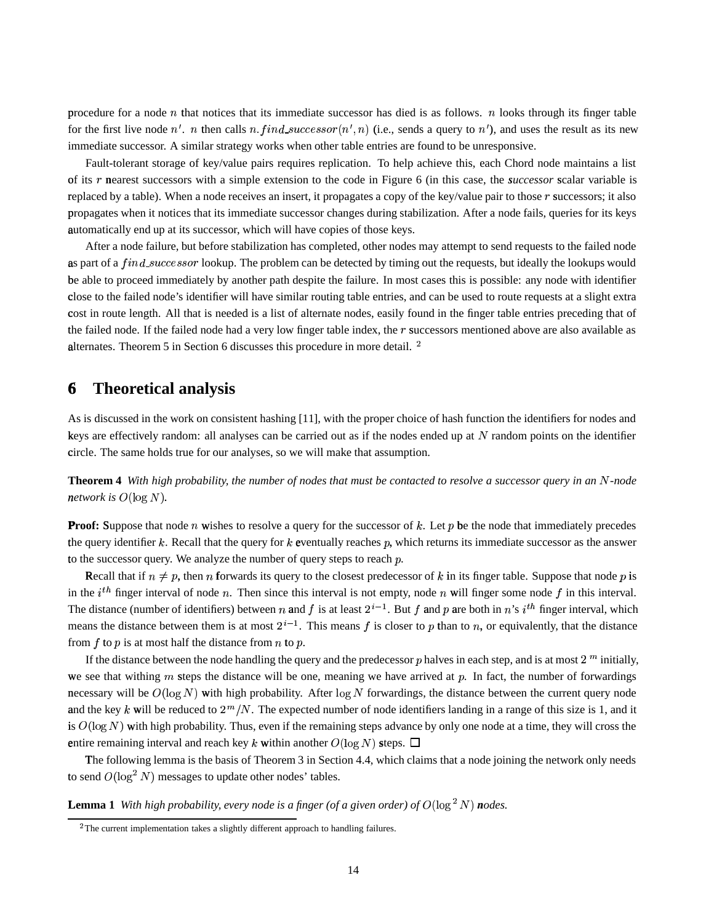procedure for a node  $n$  that notices that its immediate successor has died is as follows.  $n$  looks through its finger table for the first live node n'. n then calls n. find\_successor(n', n) (i.e., sends a query to n'), and uses the result as its new immediate successor. A similar strategy works when other table entries are found to be unresponsive.

Fault-tolerant storage of key/value pairs requires replication. To help achieve this, each Chord node maintains a list of its r nearest successors with a simple extension to the code in Figure 6 (in this case, the *successor* scalar variable is replaced by a table). When a node receives an insert, it propagates a copy of the key/value pair to those  $r$  successors; it also propagates when it notices that its immediate successor changes during stabilization. After a node fails, queries for its keys automatically end up at its successor, which will have copies of those keys.

After a node failure, but before stabilization has completed, other nodes may attempt to send requests to the failed node as part of a *find\_successor* lookup. The problem can be detected by timing out the requests, but ideally the lookups would be able to proceed immediately by another path despite the failure. In most cases this is possible: any node with identifier close <sup>h</sup> to the failed node's identifier will have similar routing table entries, and can be used to route requests at a slight extra cost in route length. All that is needed is a list of alternate nodes, easily found in the finger table entries preceding that of the failed node. If the failed node had a very low finger table index, the  $r$  successors mentioned above are also available as alternates. Theorem 5 in Section 6 discusses this procedure in more detail.  $^2$ 

## **6**<sup>ì</sup> **Theoretical analysis**

As is discussed in the work on consistent hashing [11], with the proper choice of hash function the identifiers for nodes and keys are effectively random: all analyses can be carried out as if the nodes ended up at  $N$  random points on the identifier circle. The same holds true for our analyses, so we will make that assumption.

**Theorem 4** With high probability, the number of nodes that must be contacted to resolve a successor query in an N-node *network is*  $O(\log N)$ .

**Proof:** Suppose that node  $n$  wishes to resolve a query for the successor of  $k$ . Let  $p$  be the node that immediately precedes the query identifier k. Recall that the query for  $k$  eventually reaches  $p$ , which returns its immediate successor as the answer to the successor query. We analyze the number of query steps to reach  $p$ .

Recall that if  $n \neq p$ , then n forwards its query to the closest predecessor of k in its finger table. Suppose that node p is in the  $i^{th}$  finger interval of node n. Then since this interval is not empty, node n will finger some node f in this interval. The distance (number of identifiers) between n and f is at least  $2^{i-1}$ . But f and p are both in n's i<sup>th</sup> finger interval, which means the distance between them is at most  $2^{i-1}$ . This means f is closer to p than to n, or equivalently, that the distance from  $f$  to  $p$  is at most half the distance from  $n$  to  $p$ .

If the distance between the node handling the query and the predecessor  $p$  halves in each step, and is at most  $2<sup>m</sup>$  initially, we see that withing  $m$  steps the distance will be one, meaning we have arrived at  $p$ . In fact, the number of forwardings necessary will be  $O(\log N)$  with high probability. After  $\log N$  forwardings, the distance between the current query node and the key k will be reduced to  $2^m/N$ . The expected number of node identifiers landing in a range of this size is 1, and it is  $O(\log N)$  with high probability. Thus, even if the remaining steps advance by only one node at a time, they will cross the entire remaining interval and reach key k within another  $O(\log N)$  steps.  $\Box$ 

The following lemma is the basis of Theorem 3 in Section 4.4, which claims that a node joining the network only needs to send  $O(\log^2 N)$  messages to update other nodes' tables.

**Lemma 1** With high probability, every node is a finger (of a given order) of  $O(\log^2 N)$  nodes.

<sup>&</sup>lt;sup>2</sup>The current implementation takes a slightly different approach to handling failures.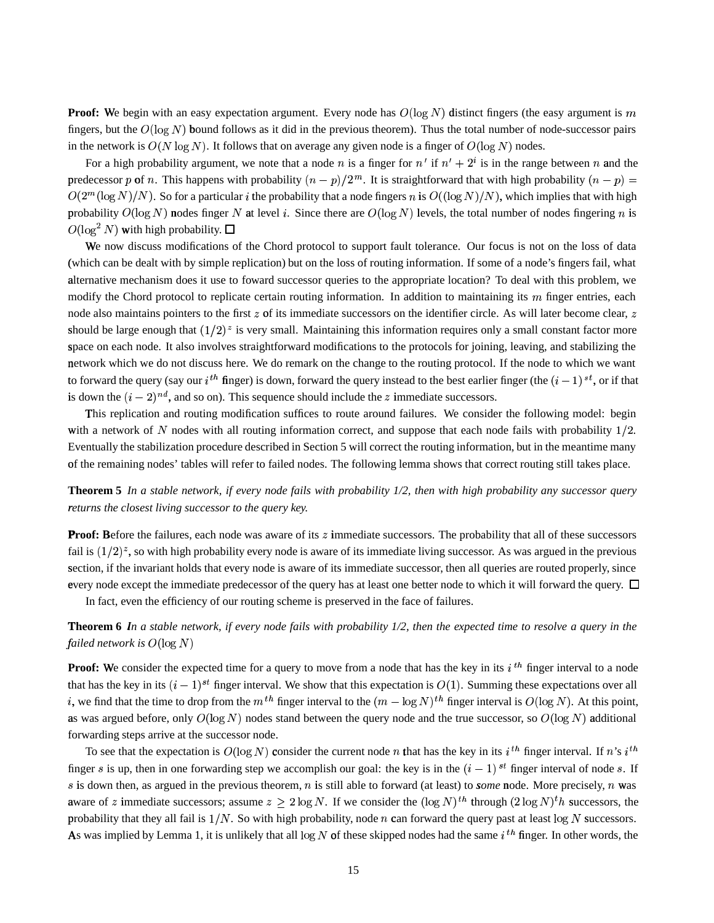**Proof:** We begin with an easy expectation argument. Every node has  $O(\log N)$  distinct fingers (the easy argument is m fingers, but the  $O(log N)$  bound follows as it did in the previous theorem). Thus the total number of node-successor pairs in the network is  $O(N \log N)$ . It follows that on average any given node is a finger of  $O(\log N)$  nodes.

For a high probability argument, we note that a node n is a finger for  $n'$  if  $n' + 2<sup>i</sup>$  is in the range between n and the predecessor p of n. This happens with probability  $(n - p)/2^m$ . It is straightforward that with high probability  $(n - p)$  $O(2^m (\log N)/N)$ . So for a particular *i* the probability that a node fingers *n* is  $O((\log N)/N)$ , which implies that with high probability  $O(\log N)$  nodes finger N at level i. Since there are  $O(\log N)$  levels, the total number of nodes fingering n is  $O(\log^2 N)$  with high probability.  $\Box$ 

We now discuss modifications of the Chord protocol to support fault tolerance. Our focus is not on the loss of data (which can be dealt with by simple replication) but on the loss of routing information. If some of a node's fingers fail, what alternative mechanism does it use to foward successor queries to the appropriate location? To deal with this problem, we modify the Chord protocol to replicate certain routing information. In addition to maintaining its m finger entries, each node also maintains pointers to the first  $z$  of its immediate successors on the identifier circle. As will later become clear,  $z$ should be large enough that  $(1/2)^z$  is very small. Maintaining this information requires only a small constant factor more space on each node. It also involves straightforward modifications to the protocols for joining, leaving, and stabilizing the network which we do not discuss here. We do remark on the change to the routing protocol. If the node to which we want to forward the query (say our  $i^{th}$  finger) is down, forward the query instead to the best earlier finger (the  $(i-1)^{st}$ , or if that is down the  $(i - 2)^{nd}$ , and so on). This sequence should include the z immediate successors.

This replication and routing modification suffices to route around failures. We consider the following model: begin with a network of N nodes with all routing information correct, and suppose that each node fails with probability  $1/2$ . Eventually the stabilization procedure described in Section 5 will correct the routing information, but in the meantime many of the remaining nodes' tables will refer to failed nodes. The following lemma shows that correct routing still takes place.

**Theorem 5** In a stable network, if every node fails with probability  $1/2$ , then with high probability any successor query returns the closest living successor to the query key.

**Proof:** Before the failures, each node was aware of its z immediate successors. The probability that all of these successors fail is  $(1/2)^z$ , so with high probability every node is aware of its immediate living successor. As was argued in the previous section, if the invariant holds that every node is aware of its immediate successor, then all queries are routed properly, since every node except the immediate predecessor of the query has at least one better node to which it will forward the query.  $\Box$ 

In fact, even the efficiency of our routing scheme is preserved in the face of failures.

Theorem 6 In a stable network, if every node fails with probability 1/2, then the expected time to resolve a query in the failed network is  $O(\log N)$ 

**Proof:** We consider the expected time for a query to move from a node that has the key in its  $i^{th}$  finger interval to a node that has the key in its  $(i - 1)^{st}$  finger interval. We show that this expectation is  $O(1)$ . Summing these expectations over all *i*, we find that the time to drop from the  $m^{th}$  finger interval to the  $(m - \log N)^{th}$  finger interval is  $O(\log N)$ . At this point, as was argued before, only  $O(\log N)$  nodes stand between the query node and the true successor, so  $O(\log N)$  additional forwarding steps arrive at the successor node.

To see that the expectation is  $O(\log N)$  consider the current node n that has the key in its i<sup>th</sup> finger interval. If n's i<sup>th</sup> finger s is up, then in one forwarding step we accomplish our goal: the key is in the  $(i - 1)$  st finger interval of node s. If s is down then, as argued in the previous theorem,  $n$  is still able to forward (at least) to *some* node. More precisely,  $n$  was aware of z immediate successors; assume  $z \geq 2 \log N$ . If we consider the  $(\log N)^{th}$  through  $(2 \log N)^{th}$  successors, the probability that they all fail is  $1/N$ . So with high probability, node *n* can forward the query past at least  $\log N$  successors. As was implied by Lemma 1, it is unlikely that all  $\log N$  of these skipped nodes had the same  $i^{th}$  finger. In other words, the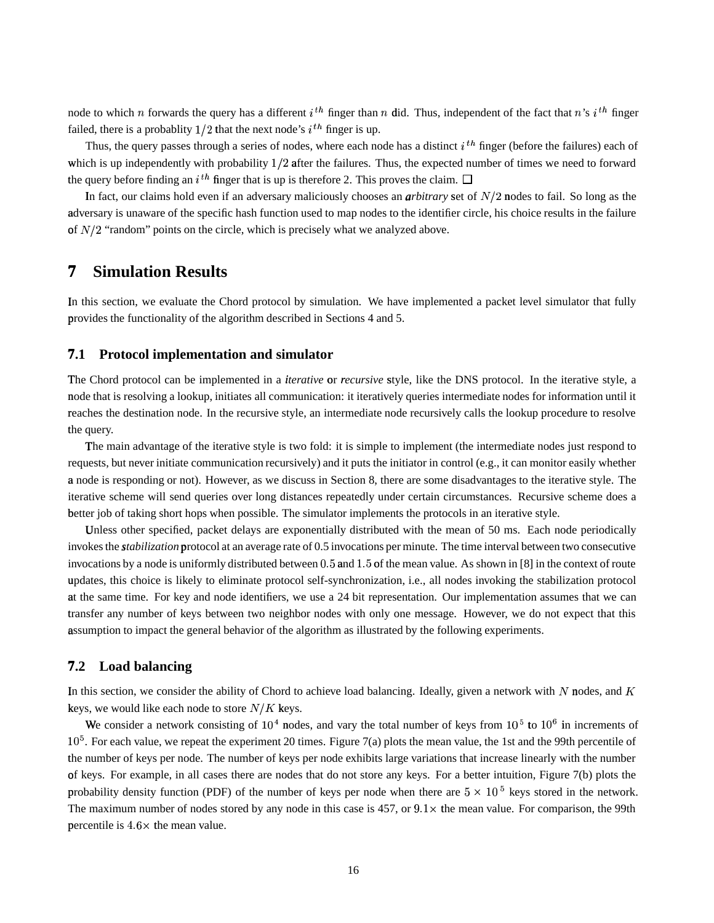node to which n forwards the query has a different  $i^{th}$  finger than n did. Thus, independent of the fact that n's  $i^{th}$  finger failed, there is a probablity  $1/2$  that the next node's  $i<sup>th</sup>$  finger is up.

Thus, the query passes through a series of nodes, where each node has a distinct  $i^{th}$  finger (before the failures) each of which is up independently with probability  $1/2$  after the failures. Thus, the expected number of times we need to forward the query before finding an  $i<sup>th</sup>$  finger that is up is therefore 2. This proves the claim.

In fact, our claims hold even if an adversary maliciously chooses an *arbitrary* set of  $N/2$  nodes to fail. So long as the adversary is unaware of the specific hash function used to map nodes to the identifier circle, his choice results in the failure of  $N/2$  "random" points on the circle, which is precisely what we analyzed above.

## **7**<sup>î</sup> **Simulation Results**

In this section, we evaluate the Chord protocol by simulation. We have implemented a packet level simulator that fully provides the functionality of the algorithm described in Sections 4 and 5.

### **7.1** <sup>ï</sup> **Protocol implementation and simulator**

The Chord protocol can be implemented in a *iterative* or *recursive* style, like the DNS protocol. In the iterative style, a node that is resolving a lookup, initiates all communication: it iteratively queries intermediate nodes for information until it reaches the destination node. In the recursive style, an intermediate node recursively calls the lookup procedure to resolve the query.

The main advantage of the iterative style is two fold: it is simple to implement (the intermediate nodes just respond to requests, but never initiate communication recursively) and it puts the initiator in control (e.g., it can monitor easily whether a node is responding or not). However, as we discuss in Section 8, there are some disadvantages to the iterative style. The iterative scheme will send queries over long distances repeatedly under certain circumstances. Recursive scheme does a better job of taking short hops when possible. The simulator implements the protocols in an iterative style.

Unless other specified, packet delays are exponentially distributed with the mean of 50 ms. Each node periodically invokes the *stabilization* protocol at an average rate of 0.5 invocations per minute. The time interval between two consecutive invocations by a node is uniformly distributed between  $0.5$  and  $1.5$  of the mean value. As shown in [8] in the context of route updates, this choice is likely to eliminate protocol self-synchronization, i.e., all nodes invoking the stabilization protocol at the same time. For key and node identifiers, we use a 24 bit representation. Our implementation assumes that we can transfer any number of keys between two neighbor nodes with only one message. However, we do not expect that this assumption to impact the general behavior of the algorithm as illustrated by the following experiments.

### **7.2** <sup>ï</sup> **Load balancing**

In this section, we consider the ability of Chord to achieve load balancing. Ideally, given a network with N nodes, and K keys, we would like each node to store  $N/K$  keys.

We consider a network consisting of  $10^4$  nodes, and vary the total number of keys from  $10^5$  to  $10^6$  in increments of  $10<sup>5</sup>$ . For each value, we repeat the experiment 20 times. Figure 7(a) plots the mean value, the 1st and the 99th percentile of the number of keys per node. The number of keys per node exhibits large variations that increase linearly with the number of keys. For example, in all cases there are nodes that do not store any keys. For a better intuition, Figure 7(b) plots the probability density function (PDF) of the number of keys per node when there are  $5 \times 10^5$  keys stored in the network. The maximum number of nodes stored by any node in this case is  $457$ , or  $9.1 \times$  the mean value. For comparison, the 99th percentile is  $4.6 \times$  the mean value.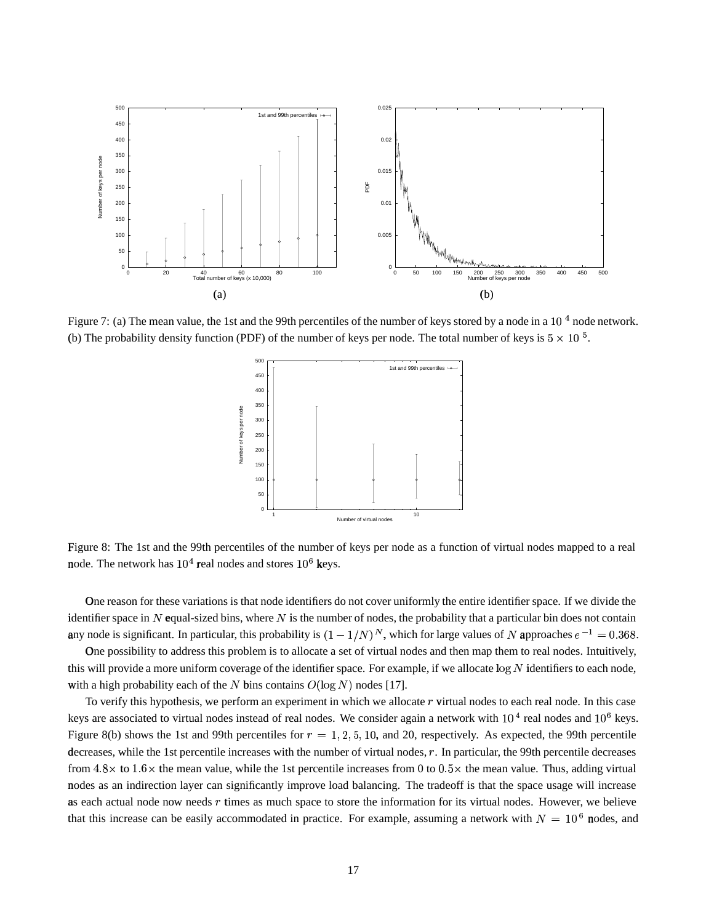

Figure 7: (a) The mean value, the 1st and the 99th percentiles of the number of keys stored by a node in a 10<sup>4</sup> node network. (b) The probability density function (PDF) of the number of keys per node. The total number of keys is  $5 \times 10^{-5}$ .



Figure 8: The 1st and the 99th percentiles of the number of keys per node as a function of virtual nodes mapped to a real node. The network has  $10^4$  real nodes and stores  $10^6$  keys.

One reason for these variations is that node identifiers do not cover uniformly the entire identifier space. If we divide the identifier space in N equal-sized bins, where N is the number of nodes, the probability that a particular bin does not contain any node is significant. In particular, this probability is  $(1 - 1/N)^N$ , which for large values of N approaches  $e^{-1} = 0.368$ .

One possibility to address this problem is to allocate a set of virtual nodes and then map them to real nodes. Intuitively, this will provide a more uniform coverage of the identifier space. For example, if we allocate  $\log N$  identifiers to each node, with a high probability each of the N bins contains  $O(\log N)$  nodes [17].

To verify this hypothesis, we perform an experiment in which we allocate  $r$  virtual nodes to each real node. In this case keys are associated to virtual nodes instead of real nodes. We consider again a network with  $10^4$  real nodes and  $10^6$  keys. Figure 8(b) shows the 1st and 99th percentiles for  $r = 1, 2, 5, 10$ , and 20, respectively. As expected, the 99th percentile decreases, while the 1st percentile increases with the number of virtual nodes, r. In particular, the 99th percentile decreases from  $4.8 \times$  to  $1.6 \times$  the mean value, while the 1st percentile increases from 0 to  $0.5 \times$  the mean value. Thus, adding virtual nodes as an indirection layer can significantly improve load balancing. The tradeoff is that the space usage will increase as each actual node now needs  $r$  times as much space to store the information for its virtual nodes. However, we believe that this increase can be easily accommodated in practice. For example, assuming a network with  $N = 10^6$  nodes, and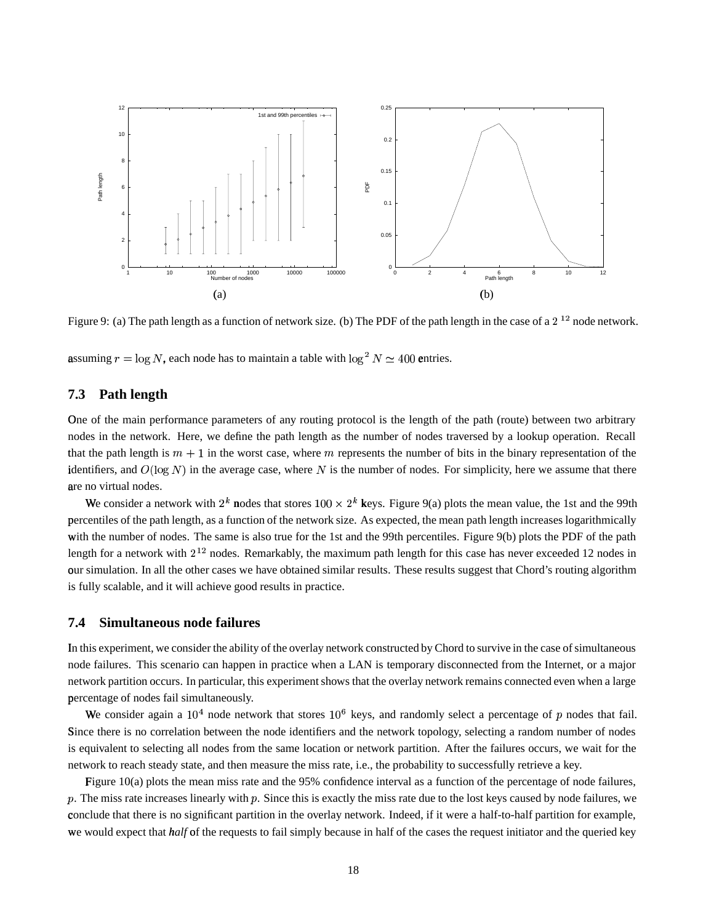

Figure 9: (a) The path length as a function of network size. (b) The PDF of the path length in the case of a  $2^{12}$  node network.

assuming  $r = \log N$ , each node has to maintain a table with  $\log^2 N \simeq 400$  entries.

#### **Path length** 7.3

One of the main performance parameters of any routing protocol is the length of the path (route) between two arbitrary nodes in the network. Here, we define the path length as the number of nodes traversed by a lookup operation. Recall that the path length is  $m + 1$  in the worst case, where m represents the number of bits in the binary representation of the identifiers, and  $O(\log N)$  in the average case, where N is the number of nodes. For simplicity, here we assume that there are no virtual nodes.

We consider a network with  $2^k$  nodes that stores  $100 \times 2^k$  keys. Figure 9(a) plots the mean value, the 1st and the 99th percentiles of the path length, as a function of the network size. As expected, the mean path length increases logarithmically with the number of nodes. The same is also true for the 1st and the 99th percentiles. Figure 9(b) plots the PDF of the path length for a network with  $2^{12}$  nodes. Remarkably, the maximum path length for this case has never exceeded 12 nodes in our simulation. In all the other cases we have obtained similar results. These results suggest that Chord's routing algorithm is fully scalable, and it will achieve good results in practice.

#### 7.4 Simultaneous node failures

In this experiment, we consider the ability of the overlay network constructed by Chord to survive in the case of simultaneous node failures. This scenario can happen in practice when a LAN is temporary disconnected from the Internet, or a major network partition occurs. In particular, this experiment shows that the overlay network remains connected even when a large percentage of nodes fail simultaneously.

We consider again a  $10^4$  node network that stores  $10^6$  keys, and randomly select a percentage of p nodes that fail. Since there is no correlation between the node identifiers and the network topology, selecting a random number of nodes is equivalent to selecting all nodes from the same location or network partition. After the failures occurs, we wait for the network to reach steady state, and then measure the miss rate, i.e., the probability to successfully retrieve a key.

Figure  $10(a)$  plots the mean miss rate and the 95% confidence interval as a function of the percentage of node failures, p. The miss rate increases linearly with p. Since this is exactly the miss rate due to the lost keys caused by node failures, we conclude that there is no significant partition in the overlay network. Indeed, if it were a half-to-half partition for example, we would expect that *half* of the requests to fail simply because in half of the cases the request initiator and the queried key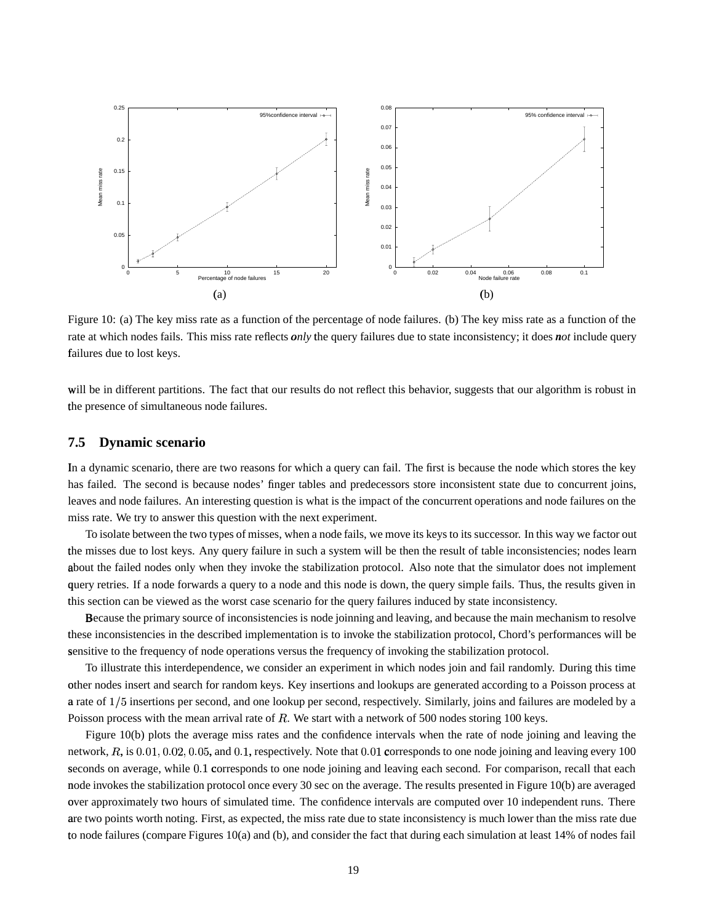

Figure 10: (a) The key miss rate as a function of the percentage of node failures. (b) The key miss rate as a function of the rate at which nodes fails. This miss rate reflects *only* the query failures due to state inconsistency; it does *not* include query failures due to lost keys.

will be in different partitions. The fact that our results do not reflect this behavior, suggests that our algorithm is robust in the presence of simultaneous node failures.

### **7.5 Dynamic scenario**

In a dynamic scenario, there are two reasons for which a query can fail. The first is because the node which stores the key has failed. The second is because nodes' finger tables and predecessors store inconsistent state due to concurrent joins, leaves and node failures. An interesting question is what is the impact of the concurrent operations and node failures on the miss rate. We try to answer this question with the next experiment.

To isolate between the two types of misses, when a node fails, we move its keysto its successor. In this way we factor out the misses due to lost keys. Any query failure in such a system will be then the result of table inconsistencies; nodes learn about the failed nodes only when they invoke the stabilization protocol. Also note that the simulator does not implement query retries. If a node forwards a query to a node and this node is down, the query simple fails. Thus, the results given in this section can be viewed as the worst case scenario for the query failures induced by state inconsistency.

Because the primary source of inconsistencies is node joinning and leaving, and because the main mechanism to resolve these inconsistencies in the described implementation is to invoke the stabilization protocol, Chord's performances will be sensitive to the frequency of node operations versus the frequency of invoking the stabilization protocol.

To illustrate this interdependence, we consider an experiment in which nodes join and fail randomly. During this time other nodes insert and search for random keys. Key insertions and lookups are generated according to a Poisson process at a rate of  $1/5$  insertions per second, and one lookup per second, respectively. Similarly, joins and failures are modeled by a Poisson process with the mean arrival rate of  $R$ . We start with a network of 500 nodes storing 100 keys.

Figure 10(b) plots the average miss rates and the confidence intervals when the rate of node joining and leaving the network,  $R$ , is  $0.01, 0.02, 0.05$ , and  $0.1$ , respectively. Note that  $0.01$  corresponds to one node joining and leaving every 100 seconds on average, while 0.1 corresponds to one node joining and leaving each second. For comparison, recall that each node invokes the stabilization protocol once every 30 sec on the average. The results presented in Figure 10(b) are averaged over approximately two hours of simulated time. The confidence intervals are computed over 10 independent runs. There are two points worth noting. First, as expected, the miss rate due to state inconsistency is much lower than the miss rate due to node failures (compare Figures 10(a) and (b), and consider the fact that during each simulation at least 14% of nodes fail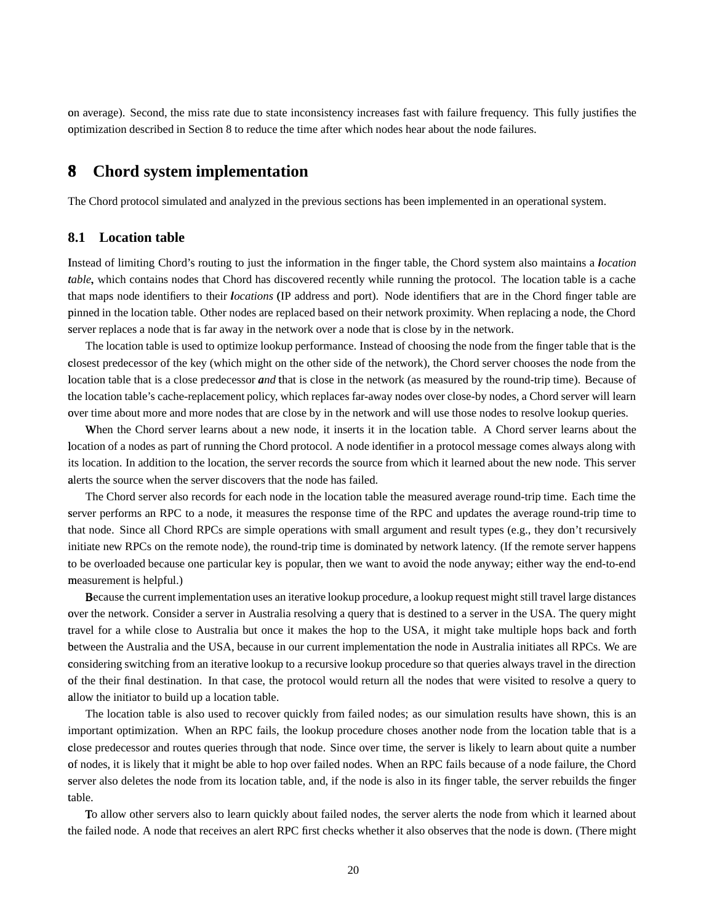on average). Second, the miss rate due to state inconsistency increases fast with failure frequency. This fully justifies the optimization described in Section 8 to reduce the time after which nodes hear about the node failures.

## **8**<sup>ý</sup> **Chord system implementation**

The Chord protocol simulated and analyzed in the previous sections has been implemented in an operational system.

### **8.1 Location table**

Instead of limiting Chord's routing to just the information in the finger table, the Chord system also maintains a *location* <sup>þ</sup> table, which contains nodes that Chord has discovered recently while running the protocol. The location table is a cache that maps node identifiers to their *locations* (IP address and port). Node identifiers that are in the Chord finger table are pinned in the location table. Other nodes are replaced based on their network proximity. When replacing a node, the Chord server replaces a node that is far away in the network over a node that is close by in the network.

The location table is used to optimize lookup performance. Instead of choosing the node from the finger table that is the closest predecessor of the key (which might on the other side of the network), the Chord server chooses the node from the location table that is a close predecessor *and* that is close in the network (as measured by the round-trip time). Because of the location table's cache-replacement policy, which replaces far-away nodes over close-by nodes, a Chord server will learn over time about more and more nodes that are close by in the network and will use those nodes to resolve lookup queries.

When the Chord server learns about a new node, it inserts it in the location table. A Chord server learns about the location of a nodes as part of running the Chord protocol. A node identifier in a protocol message comes always along with its location. In addition to the location, the server records the source from which it learned about the new node. This server alerts the source when the server discovers that the node has failed.

The Chord server also records for each node in the location table the measured average round-trip time. Each time the server performs an RPC to a node, it measures the response time of the RPC and updates the average round-trip time to that node. Since all Chord RPCs are simple operations with small argument and result types (e.g., they don't recursively initiate new RPCs on the remote node), the round-trip time is dominated by network latency. (If the remote server happens to be overloaded because one particular key is popular, then we want to avoid the node anyway; either way the end-to-end measurement is helpful.)

Because the current implementation uses an iterative lookup procedure, a lookup request might still travel large distances over the network. Consider a server in Australia resolving a query that is destined to a server in the USA. The query might travel for a while close to Australia but once it makes the hop to the USA, it might take multiple hops back and forth between the Australia and the USA, because in our current implementation the node in Australia initiates all RPCs. We are considering switching from an iterative lookup to a recursive lookup procedure so that queries always travel in the direction of the their final destination. In that case, the protocol would return all the nodes that were visited to resolve a query to allow the initiator to build up a location table.

The location table is also used to recover quickly from failed nodes; as our simulation results have shown, this is an important optimization. When an RPC fails, the lookup procedure choses another node from the location table that is a close predecessor and routes queries through that node. Since over time, the server is likely to learn about quite a number of nodes, it is likely that it might be able to hop over failed nodes. When an RPC fails because of a node failure, the Chord server also deletes the node from its location table, and, if the node is also in its finger table, the server rebuilds the finger table.

To allow other servers also to learn quickly about failed nodes, the server alerts the node from which it learned about the failed node. A node that receives an alert RPC first checks whether it also observes that the node is down. (There might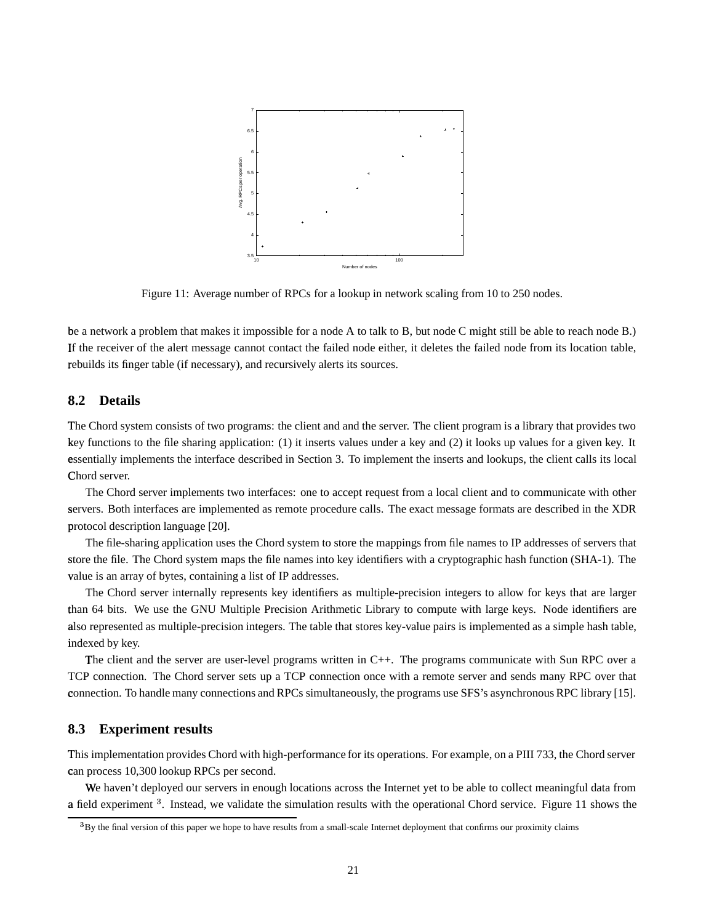

Figure 11: Average number of RPCs for a lookup in network scaling from 10 to 250 nodes.

be a network a problem that makes it impossible for a node A to talk to B, but node C might still be able to reach node B.) If the receiver of the alert message cannot contact the failed node either, it deletes the failed node from its location table, rebuilds its finger table (if necessary), and recursively alerts its sources.

### **8.2 Details**

The Chord system consists of two programs: the client and and the server. The client program is a library that provides two key functions to the file sharing application: (1) it inserts values under a key and (2) it looks up values for a given key. It essentially implements the interface described in Section 3. To implement the inserts and lookups, the client calls its local Chord server.

The Chord server implements two interfaces: one to accept request from a local client and to communicate with other servers. Both interfaces are implemented as remote procedure calls. The exact message formats are described in the XDR protocol description language [20].

The file-sharing application uses the Chord system to store the mappings from file names to IP addresses of servers that store the file. The Chord system maps the file names into key identifiers with a cryptographic hash function (SHA-1). The value is an array of bytes, containing a list of IP addresses.

The Chord server internally represents key identifiers as multiple-precision integers to allow for keys that are larger than 64 bits. We use the GNU Multiple Precision Arithmetic Library to compute with large keys. Node identifiers are also represented as multiple-precision integers. The table that stores key-value pairs is implemented as a simple hash table, i ndexed by key.

The client and the server are user-level programs written in C++. The programs communicate with Sun RPC over a TCP connection. The Chord server sets up a TCP connection once with a remote server and sends many RPC over that connection. To handle many connections and RPCs simultaneously, the programs use SFS's asynchronous RPC library [15].

### **8.3 Experiment results**

This implementation provides Chord with high-performance for its operations. For example, on a PIII 733, the Chord server can process 10,300 lookup RPCs per second.

We haven't deployed our servers in enough locations across the Internet yet to be able to collect meaningful data from a field experiment <sup>3</sup>. Instead, we validate the simulation results with the operational Chord service. Figure 11 shows the

 $B$ By the final version of this paper we hope to have results from a small-scale Internet deployment that confirms our proximity claims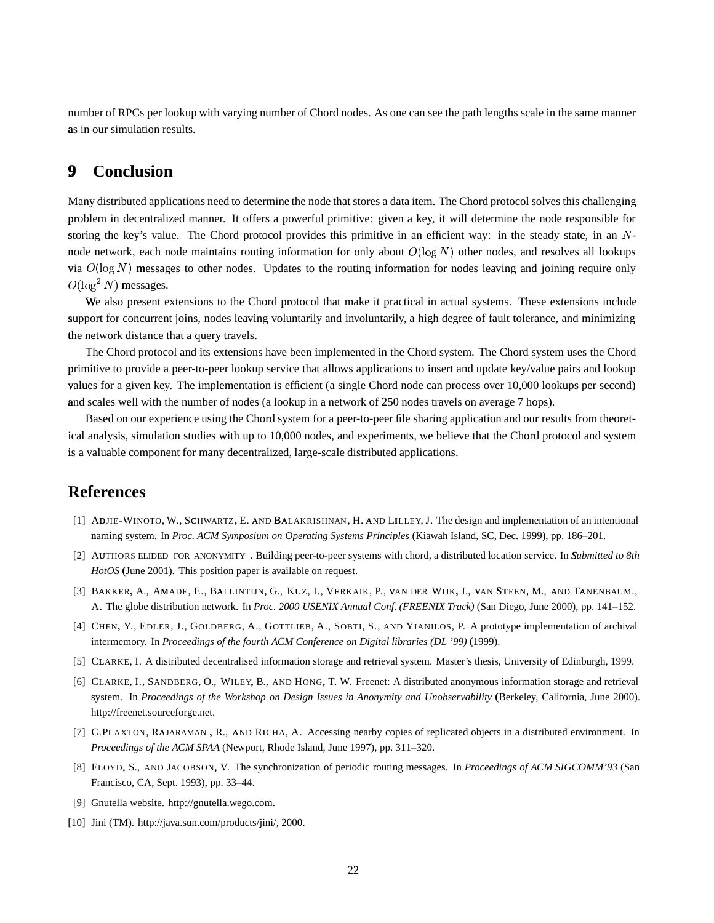number of RPCs per lookup with varying number of Chord nodes. As one can see the path lengths scale in the same manner as in our simulation results.

## **9 Conclusion**

Many distributed applications need to determine the node that stores a data item. The Chord protocolsolves this challenging problem in decentralized manner. It offers a powerful primitive: given a key, it will determine the node responsible for storing the key's value. The Chord protocol provides this primitive in an efficient way: in the steady state, in an Nnode network, each node maintains routing information for only about  $O(\log N)$  other nodes, and resolves all lookups via  $O(\log N)$  messages to other nodes. Updates to the routing information for nodes leaving and joining require only  $O(\log^2 N)$  messages.

We also present extensions to the Chord protocol that make it practical in actual systems. These extensions include support for concurrent joins, nodes leaving voluntarily and involuntarily, a high degree of fault tolerance, and minimizing the network distance that a query travels.

The Chord protocol and its extensions have been implemented in the Chord system. The Chord system uses the Chord primitive to provide a peer-to-peer lookup service that allows applications to insert and update key/value pairs and lookup values for a given key. The implementation is efficient (a single Chord node can process over 10,000 lookups per second) and scales well with the number of nodes (a lookup in a network of 250 nodes travels on average 7 hops).

Based on our experience using the Chord system for a peer-to-peer file sharing application and our results from theoretical analysis, simulation studies with up to 10,000 nodes, and experiments, we believe that the Chord protocol and system is a valuable component for many decentralized, large-scale distributed applications.

## **References**

- [1] ADJIE-WINOTO, W., SCHWARTZ, E. AND BALAKRISHNAN, H. AND LILLEY, J. The design and implementation of an intentional naming <sup>6</sup> system. In *Proc. ACM Symposium on Operating Systems Principles* (Kiawah Island, SC, Dec. 1999), pp. 186–201.
- [2] AUTHORS ELIDED FOR ANONYMITY . Building peer-to-peer systems with chord, a distributed location service. In *Submitted to 8th* HotOS (June 2001). This position paper is available on request.
- [3] BAKKER, A., AMADE, E., BALLINTIJN, G., KUZ, I., VERKAIK, P., VAN DER WIJK, I., VAN STEEN, M., AND TANENBAUM., A. The globe distribution network. In *Proc. 2000 USENIX Annual Conf. (FREENIX Track)* (San Diego, June 2000), pp. 141–152.
- [4] CHEN, Y., EDLER, J., GOLDBERG, A., GOTTLIEB, A., SOBTI, S., AND YIANILOS, P. A prototype implementation of archival intermemory. In *Proceedings of the fourth ACM Conference on Digital libraries (DL '99)* (1999). :
- [5] CLARKE, I. A distributed decentralised information storage and retrieval system. Master's thesis, University of Edinburgh, 1999.
- [6] CLARKE, I., SANDBERG, O., WILEY, B., AND HONG, T. W. Freenet: A distributed anonymous information storage and retrieval system. In Proceedings of the Workshop on Design Issues in Anonymity and Unobservability (Berkeley, California, June 2000). http://freenet.sourceforge.net.
- [7] C.PLAXTON, RAJARAMAN, R., AND RICHA, A. Accessing nearby copies of replicated objects in a distributed environment. In *Proceedings of the ACM SPAA* (Newport, Rhode Island, June 1997), pp. 311–320.
- [8] FLOYD, S., AND JACOBSON, V. The synchronization of periodic routing messages. In *Proceedings of ACM SIGCOMM'93* (San Francisco, CA, Sept. 1993), pp. 33–44.
- [9] Gnutella website. http://gnutella.wego.com.
- [10] Jini (TM). http://java.sun.com/products/jini/, 2000.